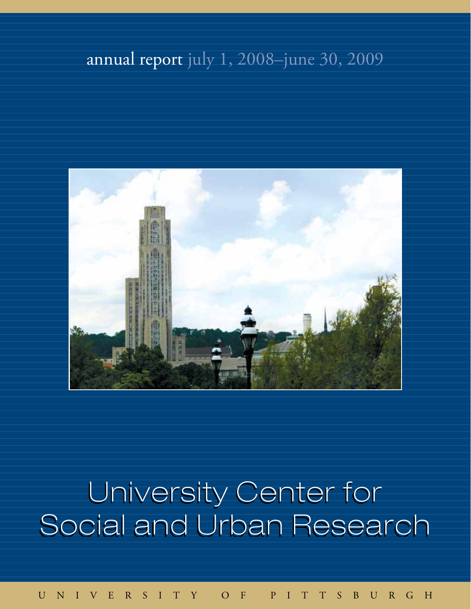# annual report july 1, 2008–june 30, 2009



# University Center for Social and Urban Research

u n i v e r s i t y o f p i t t s b u r g h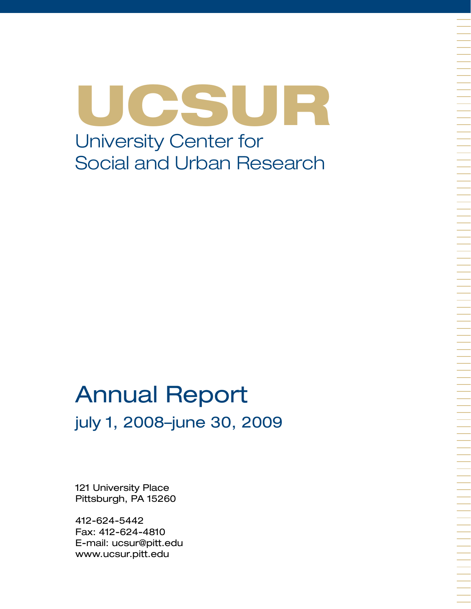UCSUR University Center for Social and Urban Research

# Annual Report july 1, 2008–june 30, 2009

121 University Place Pittsburgh, PA 15260

412-624-5442 Fax: 412-624-4810 E-mail: ucsur@pitt.edu www.ucsur.pitt.edu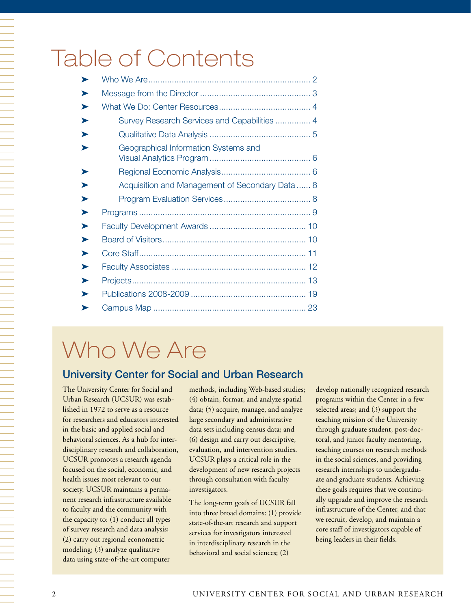# Table of Contents

| ➤ |                                                 |  |
|---|-------------------------------------------------|--|
| ➤ |                                                 |  |
| ➤ |                                                 |  |
| ▶ | Survey Research Services and Capabilities  4    |  |
| ▶ |                                                 |  |
| ➤ | Geographical Information Systems and            |  |
| ▶ |                                                 |  |
| ▶ | Acquisition and Management of Secondary Data  8 |  |
| ▶ |                                                 |  |
| ▶ |                                                 |  |
| ▶ |                                                 |  |
| ▶ |                                                 |  |
| ▶ |                                                 |  |
| ➤ |                                                 |  |
| ➤ |                                                 |  |
| ➤ |                                                 |  |
|   |                                                 |  |

# Who We Are

### University Center for Social and Urban Research

The University Center for Social and Urban Research (UCSUR) was established in 1972 to serve as a resource for researchers and educators interested in the basic and applied social and behavioral sciences. As a hub for interdisciplinary research and collaboration, UCSUR promotes a research agenda focused on the social, economic, and health issues most relevant to our society. UCSUR maintains a permanent research infrastructure available to faculty and the community with the capacity to: (1) conduct all types of survey research and data analysis; (2) carry out regional econometric modeling; (3) analyze qualitative data using state-of-the-art computer

methods, including Web-based studies; (4) obtain, format, and analyze spatial data; (5) acquire, manage, and analyze large secondary and administrative data sets including census data; and (6) design and carry out descriptive, evaluation, and intervention studies. UCSUR plays a critical role in the development of new research projects through consultation with faculty investigators.

The long-term goals of UCSUR fall into three broad domains: (1) provide state-of-the-art research and support services for investigators interested in interdisciplinary research in the behavioral and social sciences; (2)

develop nationally recognized research programs within the Center in a few selected areas; and (3) support the teaching mission of the University through graduate student, post-doctoral, and junior faculty mentoring, teaching courses on research methods in the social sciences, and providing research internships to undergraduate and graduate students. Achieving these goals requires that we continually upgrade and improve the research infrastructure of the Center, and that we recruit, develop, and maintain a core staff of investigators capable of being leaders in their fields.

一个人,我们就是一个人,我们就是一个人,我们就是一个人,我们就是一个人,我们就是一个人,我们就是一个人,我们就是一个人,我们就是一个人,我们就是一个人,我们就是一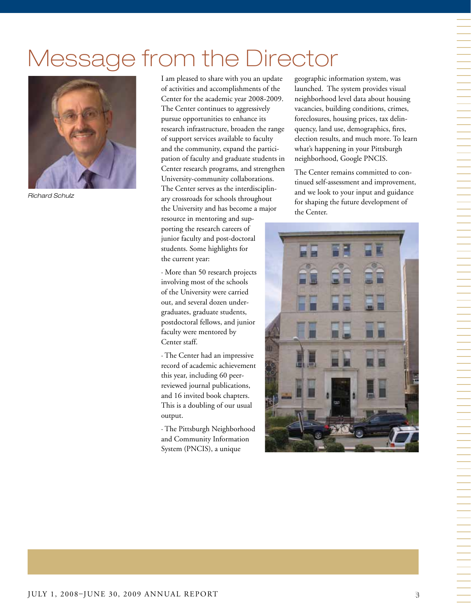# Message from the Director



*Richard Schulz*

I am pleased to share with you an update of activities and accomplishments of the Center for the academic year 2008-2009. The Center continues to aggressively pursue opportunities to enhance its research infrastructure, broaden the range of support services available to faculty and the community, expand the participation of faculty and graduate students in Center research programs, and strengthen University-community collaborations. The Center serves as the interdisciplinary crossroads for schools throughout the University and has become a major resource in mentoring and supporting the research careers of junior faculty and post-doctoral students. Some highlights for the current year:

· More than 50 research projects involving most of the schools of the University were carried out, and several dozen undergraduates, graduate students, postdoctoral fellows, and junior faculty were mentored by Center staff.

· The Center had an impressive record of academic achievement this year, including 60 peerreviewed journal publications, and 16 invited book chapters. This is a doubling of our usual output.

· The Pittsburgh Neighborhood and Community Information System (PNCIS), a unique

geographic information system, was launched. The system provides visual neighborhood level data about housing vacancies, building conditions, crimes, foreclosures, housing prices, tax delinquency, land use, demographics, fires, election results, and much more. To learn what's happening in your Pittsburgh neighborhood, Google PNCIS.

The Center remains committed to continued self-assessment and improvement, and we look to your input and guidance for shaping the future development of the Center.

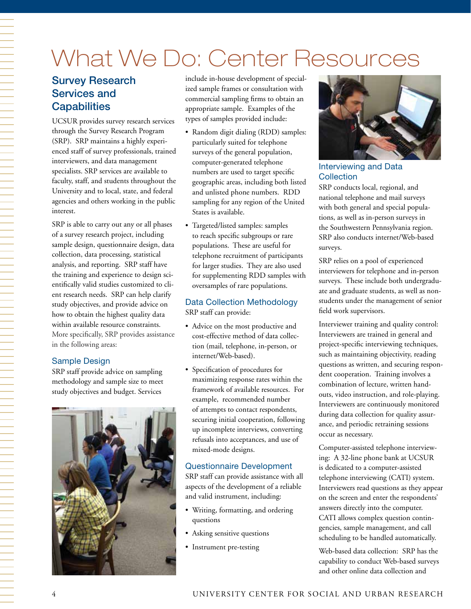# What We Do: Center Resources

## Survey Research Services and **Capabilities**

UCSUR provides survey research services through the Survey Research Program (SRP). SRP maintains a highly experienced staff of survey professionals, trained interviewers, and data management specialists. SRP services are available to faculty, staff, and students throughout the University and to local, state, and federal agencies and others working in the public interest.

SRP is able to carry out any or all phases of a survey research project, including sample design, questionnaire design, data collection, data processing, statistical analysis, and reporting. SRP staff have the training and experience to design scientifically valid studies customized to client research needs. SRP can help clarify study objectives, and provide advice on how to obtain the highest quality data within available resource constraints. More specifically, SRP provides assistance in the following areas:

#### Sample Design

SRP staff provide advice on sampling methodology and sample size to meet study objectives and budget. Services



include in-house development of specialized sample frames or consultation with commercial sampling firms to obtain an appropriate sample. Examples of the types of samples provided include:

- Random digit dialing (RDD) samples: particularly suited for telephone surveys of the general population, computer-generated telephone numbers are used to target specific geographic areas, including both listed and unlisted phone numbers. RDD sampling for any region of the United States is available.
- Targeted/listed samples: samples to reach specific subgroups or rare populations. These are useful for telephone recruitment of participants for larger studies. They are also used for supplementing RDD samples with oversamples of rare populations.

#### Data Collection Methodology SRP staff can provide:

- Advice on the most productive and cost-effective method of data collection (mail, telephone, in-person, or internet/Web-based).
- • Specification of procedures for maximizing response rates within the framework of available resources. For example, recommended number of attempts to contact respondents, securing initial cooperation, following up incomplete interviews, converting refusals into acceptances, and use of mixed-mode designs.

#### Questionnaire Development

SRP staff can provide assistance with all aspects of the development of a reliable and valid instrument, including:

- • Writing, formatting, and ordering questions
- Asking sensitive questions
- Instrument pre-testing



Interviewing and Data **Collection** 

SRP conducts local, regional, and national telephone and mail surveys with both general and special populations, as well as in-person surveys in the Southwestern Pennsylvania region. SRP also conducts internet/Web-based surveys.

SRP relies on a pool of experienced interviewers for telephone and in-person surveys. These include both undergraduate and graduate students, as well as nonstudents under the management of senior field work supervisors.

Interviewer training and quality control: Interviewers are trained in general and project-specific interviewing techniques, such as maintaining objectivity, reading questions as written, and securing respondent cooperation. Training involves a combination of lecture, written handouts, video instruction, and role-playing. Interviewers are continuously monitored during data collection for quality assurance, and periodic retraining sessions occur as necessary.

Computer-assisted telephone interviewing: A 32-line phone bank at UCSUR is dedicated to a computer-assisted telephone interviewing (CATI) system. Interviewers read questions as they appear on the screen and enter the respondents' answers directly into the computer. CATI allows complex question contingencies, sample management, and call scheduling to be handled automatically.

Web-based data collection: SRP has the capability to conduct Web-based surveys and other online data collection and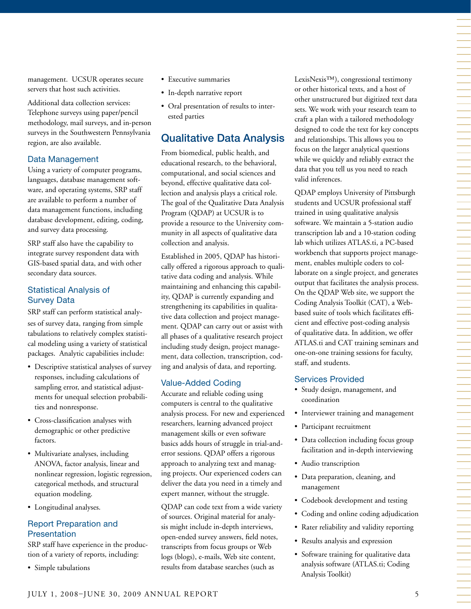management. UCSUR operates secure servers that host such activities.

Additional data collection services: Telephone surveys using paper/pencil methodology, mail surveys, and in-person surveys in the Southwestern Pennsylvania region, are also available.

#### Data Management

Using a variety of computer programs, languages, database management software, and operating systems, SRP staff are available to perform a number of data management functions, including database development, editing, coding, and survey data processing.

SRP staff also have the capability to integrate survey respondent data with GIS-based spatial data, and with other secondary data sources.

#### Statistical Analysis of Survey Data

SRP staff can perform statistical analyses of survey data, ranging from simple tabulations to relatively complex statistical modeling using a variety of statistical packages. Analytic capabilities include:

- • Descriptive statistical analyses of survey responses, including calculations of sampling error, and statistical adjustments for unequal selection probabilities and nonresponse.
- • Cross-classification analyses with demographic or other predictive factors.
- Multivariate analyses, including ANOVA, factor analysis, linear and nonlinear regression, logistic regression, categorical methods, and structural equation modeling.
- • Longitudinal analyses.

#### Report Preparation and Presentation

SRP staff have experience in the production of a variety of reports, including:

• Simple tabulations

- • Executive summaries
- • In-depth narrative report
- • Oral presentation of results to interested parties

### Qualitative Data Analysis

From biomedical, public health, and educational research, to the behavioral, computational, and social sciences and beyond, effective qualitative data collection and analysis plays a critical role. The goal of the Qualitative Data Analysis Program (QDAP) at UCSUR is to provide a resource to the University community in all aspects of qualitative data collection and analysis.

Established in 2005, QDAP has historically offered a rigorous approach to qualitative data coding and analysis. While maintaining and enhancing this capability, QDAP is currently expanding and strengthening its capabilities in qualitative data collection and project management. QDAP can carry out or assist with all phases of a qualitative research project including study design, project management, data collection, transcription, coding and analysis of data, and reporting.

#### Value-Added Coding

Accurate and reliable coding using computers is central to the qualitative analysis process. For new and experienced researchers, learning advanced project management skills or even software basics adds hours of struggle in trial-anderror sessions. QDAP offers a rigorous approach to analyzing text and managing projects. Our experienced coders can deliver the data you need in a timely and expert manner, without the struggle.

QDAP can code text from a wide variety of sources. Original material for analysis might include in-depth interviews, open-ended survey answers, field notes, transcripts from focus groups or Web logs (blogs), e-mails, Web site content, results from database searches (such as

LexisNexis™), congressional testimony or other historical texts, and a host of other unstructured but digitized text data sets. We work with your research team to craft a plan with a tailored methodology designed to code the text for key concepts and relationships. This allows you to focus on the larger analytical questions while we quickly and reliably extract the data that you tell us you need to reach valid inferences.

QDAP employs University of Pittsburgh students and UCSUR professional staff trained in using qualitative analysis software. We maintain a 5-station audio transcription lab and a 10-station coding lab which utilizes ATLAS.ti, a PC-based workbench that supports project management, enables multiple coders to collaborate on a single project, and generates output that facilitates the analysis process. On the QDAP Web site, we support the Coding Analysis Toolkit (CAT), a Webbased suite of tools which facilitates efficient and effective post-coding analysis of qualitative data. In addition, we offer ATLAS.ti and CAT training seminars and one-on-one training sessions for faculty, staff, and students.

#### Services Provided

- • Study design, management, and coordination
- Interviewer training and management
- • Participant recruitment
- Data collection including focus group facilitation and in-depth interviewing
- • Audio transcription
- • Data preparation, cleaning, and management
- Codebook development and testing
- Coding and online coding adjudication
- Rater reliability and validity reporting
- • Results analysis and expression
- • Software training for qualitative data analysis software (ATLAS.ti; Coding Analysis Toolkit)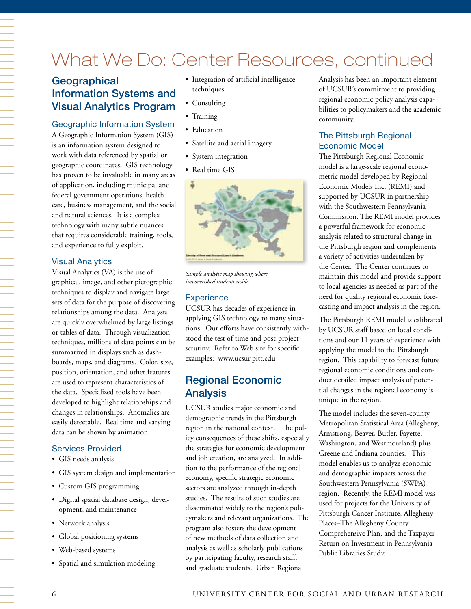# What We Do: Center Resources, continued

## **Geographical** Information Systems and Visual Analytics Program

#### Geographic Information System

A Geographic Information System (GIS) is an information system designed to work with data referenced by spatial or geographic coordinates. GIS technology has proven to be invaluable in many areas of application, including municipal and federal government operations, health care, business management, and the social and natural sciences. It is a complex technology with many subtle nuances that requires considerable training, tools, and experience to fully exploit.

#### Visual Analytics

Visual Analytics (VA) is the use of graphical, image, and other pictographic techniques to display and navigate large sets of data for the purpose of discovering relationships among the data. Analysts are quickly overwhelmed by large listings or tables of data. Through visualization techniques, millions of data points can be summarized in displays such as dashboards, maps, and diagrams. Color, size, position, orientation, and other features are used to represent characteristics of the data. Specialized tools have been developed to highlight relationships and changes in relationships. Anomalies are easily detectable. Real time and varying data can be shown by animation.

#### Services Provided

- • GIS needs analysis
- • GIS system design and implementation
- • Custom GIS programming
- • Digital spatial database design, development, and maintenance
- Network analysis
- • Global positioning systems
- • Web-based systems
- Spatial and simulation modeling
- • Integration of artificial intelligence techniques
- Consulting
- Training
- Education
- Satellite and aerial imagery
- • System integration
- Real time GIS



*Sample analytic map showing where impoverished students reside.*

#### **Experience**

UCSUR has decades of experience in applying GIS technology to many situations. Our efforts have consistently withstood the test of time and post-project scrutiny. Refer to Web site for specific examples: www.ucsur.pitt.edu

### Regional Economic Analysis

UCSUR studies major economic and demographic trends in the Pittsburgh region in the national context. The policy consequences of these shifts, especially the strategies for economic development and job creation, are analyzed. In addition to the performance of the regional economy, specific strategic economic sectors are analyzed through in-depth studies. The results of such studies are disseminated widely to the region's policymakers and relevant organizations. The program also fosters the development of new methods of data collection and analysis as well as scholarly publications by participating faculty, research staff, and graduate students. Urban Regional

Analysis has been an important element of UCSUR's commitment to providing regional economic policy analysis capabilities to policymakers and the academic community.

#### The Pittsburgh Regional Economic Model

The Pittsburgh Regional Economic model is a large-scale regional econometric model developed by Regional Economic Models Inc. (REMI) and supported by UCSUR in partnership with the Southwestern Pennsylvania Commission. The REMI model provides a powerful framework for economic analysis related to structural change in the Pittsburgh region and complements a variety of activities undertaken by the Center. The Center continues to maintain this model and provide support to local agencies as needed as part of the need for quality regional economic forecasting and impact analysis in the region.

The Pittsburgh REMI model is calibrated by UCSUR staff based on local conditions and our 11 years of experience with applying the model to the Pittsburgh region. This capability to forecast future regional economic conditions and conduct detailed impact analysis of potential changes in the regional economy is unique in the region.

The model includes the seven-county Metropolitan Statistical Area (Allegheny, Armstrong, Beaver, Butler, Fayette, Washington, and Westmoreland) plus Greene and Indiana counties. This model enables us to analyze economic and demographic impacts across the Southwestern Pennsylvania (SWPA) region. Recently, the REMI model was used for projects for the University of Pittsburgh Cancer Institute, Allegheny Places–The Allegheny County Comprehensive Plan, and the Taxpayer Return on Investment in Pennsylvania Public Libraries Study.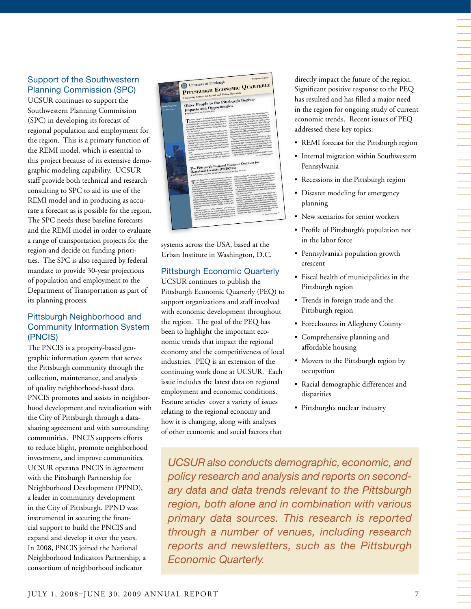#### Support of the Southwestern Planning Commission (SPC)

UCSUR continues to support the Southwestern Planning Commission (SPC) in developing its forecast of regional population and employment for the region. This is a primary function of the REMI model, which is essential to this project because of its extensive demographic modeling capability. UCSUR staff provide both technical and research consulting to SPC to aid its use of the REMI model and in producing as accurate a forecast as is possible for the region. The SPC needs these baseline forecasts and the REMI model in order to evaluate a range of transportation projects for the region and decide on funding priorities. The SPC is also required by federal mandate to provide 30-year projections of population and employment to the Department of Transportation as part of its planning process.

#### Pittsburgh Neighborhood and Community Information System (PNCIS)

The PNCIS is a property-based geographic information system that serves the Pittsburgh community through the collection, maintenance, and analysis of quality neighborhood-based data. PNCIS promotes and assists in neighborhood development and revitalization with the City of Pittsburgh through a datasharing agreement and with surrounding communities. PNCIS supports efforts to reduce blight, promote neighborhood investment, and improve communities. UCSUR operates PNCIS in agreement with the Pittsburgh Partnership for Neighborhood Development (PPND), a leader in community development in the City of Pittsburgh. PPND was instrumental in securing the financial support to build the PNCIS and expand and develop it over the years. In 2008, PNCIS joined the National Neighborhood Indicators Partnership, a consortium of neighborhood indicator

|                                       | SEPTEMBER 2009<br>University of Pittsburgh<br>PITTSBURGH ECONOMIC QUARTERLY<br>University Center for Social and Urban Research<br>Older People in the Pittsburgh Region:                                                                                                                                                                                                                                                                                                                                                                                                                                                                                                                                                                                                                                                                                                                                                                                                                                                                                                                                                                                                                                                                                                                                                                                                                                                                                                                                                                                                                                                                                                                                                                                                                                                                                                                                                                                                                                                                                                                                                                                                                                                                                                                                                                                                                                                                                                                                                                                                                                                                                                                                                                                                                                                                                                                                                                                                                                                                                                                                                                                                                                                                                                                                                                                                                                                                                                                                                                                                                                                                                            |
|---------------------------------------|---------------------------------------------------------------------------------------------------------------------------------------------------------------------------------------------------------------------------------------------------------------------------------------------------------------------------------------------------------------------------------------------------------------------------------------------------------------------------------------------------------------------------------------------------------------------------------------------------------------------------------------------------------------------------------------------------------------------------------------------------------------------------------------------------------------------------------------------------------------------------------------------------------------------------------------------------------------------------------------------------------------------------------------------------------------------------------------------------------------------------------------------------------------------------------------------------------------------------------------------------------------------------------------------------------------------------------------------------------------------------------------------------------------------------------------------------------------------------------------------------------------------------------------------------------------------------------------------------------------------------------------------------------------------------------------------------------------------------------------------------------------------------------------------------------------------------------------------------------------------------------------------------------------------------------------------------------------------------------------------------------------------------------------------------------------------------------------------------------------------------------------------------------------------------------------------------------------------------------------------------------------------------------------------------------------------------------------------------------------------------------------------------------------------------------------------------------------------------------------------------------------------------------------------------------------------------------------------------------------------------------------------------------------------------------------------------------------------------------------------------------------------------------------------------------------------------------------------------------------------------------------------------------------------------------------------------------------------------------------------------------------------------------------------------------------------------------------------------------------------------------------------------------------------------------------------------------------------------------------------------------------------------------------------------------------------------------------------------------------------------------------------------------------------------------------------------------------------------------------------------------------------------------------------------------------------------------------------------------------------------------------------------------------------|
| Inside This Issue<br>Migration Update | <b>Impacts and Opportunities</b>                                                                                                                                                                                                                                                                                                                                                                                                                                                                                                                                                                                                                                                                                                                                                                                                                                                                                                                                                                                                                                                                                                                                                                                                                                                                                                                                                                                                                                                                                                                                                                                                                                                                                                                                                                                                                                                                                                                                                                                                                                                                                                                                                                                                                                                                                                                                                                                                                                                                                                                                                                                                                                                                                                                                                                                                                                                                                                                                                                                                                                                                                                                                                                                                                                                                                                                                                                                                                                                                                                                                                                                                                                    |
|                                       |                                                                                                                                                                                                                                                                                                                                                                                                                                                                                                                                                                                                                                                                                                                                                                                                                                                                                                                                                                                                                                                                                                                                                                                                                                                                                                                                                                                                                                                                                                                                                                                                                                                                                                                                                                                                                                                                                                                                                                                                                                                                                                                                                                                                                                                                                                                                                                                                                                                                                                                                                                                                                                                                                                                                                                                                                                                                                                                                                                                                                                                                                                                                                                                                                                                                                                                                                                                                                                                                                                                                                                                                                                                                     |
|                                       | By Richard Schulz and Christopher Brient<br>losies precipitated a large exotos of the region's population.<br>Annual net out-migration Egenes for the region posked at<br>The oldest members of the Baby Boom perforation will<br>over 50,000 people per year. Out-migration with age selective,<br>with younger workers at that time far more likely to leave<br>communities in the U.S. will experience a repid growth in<br>than older individuals. By the end of the 1980s. Pizzburgh<br>the number of elder individuals. For the Pittsburgh area,<br>had become one of the oldest large metropolitan regions<br>however, this will not be a noteworthy change we've been<br>in the nation. The aging of the population continued in the<br>1990s and into the 2000s, as low rates of in migration to the<br>For more than two decades, Allegheny County has hed one<br>there and done that.<br>region exacerbated the send, and the region for exceeded<br>of the highwat concentrations of abbeits in the nation. This<br>the nation in the concertration of elder's<br>has led many to conclude that the old 19+ century phrase,<br>The concentration of older people in the Pittsburgh region<br>"demography is destiny," was true for the Pittsburgh region.<br>is extensived to binne peaked at 18.5 percent of total groute-<br>Clearly, the high concentration of elderly individuals has had<br>tion in the mid 1990s. Census projections show that the U.S. is<br>professed impact on the region and its economic develop-<br>not expected to reach a similar concern asion of elderly critic<br>ment, political climate, and quality of life. We have lived<br>2025-2030, then climb to 20 percent after 2020. Even through<br>the future (of other places in the country) and it has been<br>2050, the satisfield concerts abon of the elderly is not expected<br>to peak above 22.2 percent (see table 1).<br>The restructuring of the Pittsburgh regional ecutomy<br>Aging, however, is a global phenomenon and the figures<br>onyd.<br>deasily affected the demographic structure of the region's<br>*** continued on page 2<br>population in the 1980s. In the early 1980s, the region's job<br>The Pittsburgh Regional Business Coalition for<br><b>Homeland Security (PRBCHS)</b><br>B By Kelly Barck, Loren Roth, MD, MPH, Michael Containey, and Chief Robert Full<br>addition, the business community had not politicined itself<br>to provide critical resources to emergency responders.<br>The U.S. Department of Homeland Security (DHS) has<br>Hanicane Ivan's message was clear: Coizens and the busi-<br>mitte community needed to be better prepared to respond to<br>fic-private partnerships focused on improving the business<br>and recover from natural and man-made diseasers.<br>community's diseaser proparedness. The Pittsburgh Regional<br>Events, such as Huntcane Kenine, 9/11, and Huntcane<br>Business Confiden for Homeland Security (Confident is the<br>lyer, show that coping with an overwhelming crisis requires<br>public-private partnership, in the Pittsburgh region, dedi-<br>considerably more planning and support than the govern-<br>cated to establishing and maintaining emergency response<br>procedures and business continuity in disaster situations.<br>ment along can provide<br>In response to Ivan, the leagers from seven of Pittsburgh's<br>Lack of playming, supplies, maypower, and communication<br>business, enversity, civic, and public organizations spent<br>problems can make a natural disaster even more complex<br>nearly a year developing the concept of the Coaldinn. The |
|                                       | and development for alternal communities. Examples abound-<br>Coalition, in partnership with the Pennsylvania Region 13<br>Doring Humicane Ketrina and its absenably makiple enver-<br>Emergency Task Force and DHS, has established a conmu-<br>gency response failures created a world of chara for New<br>recation system and desibase of privately pledged assets.<br>They have brought together the private and public sectors to<br>The warning to be "better prepared" came lootly to<br>build natworks and relationships and share restources that<br>Orleans.<br>Pinsburth in 2004, with the devastating blow of Hurricane<br>are vital in the event of an entirewhoy or diseaser.<br>rean. One thereaand businesses were shut down. Many<br>*** continued on page 4<br>businesses did not know where to go for assistance since<br>there was no ceritral location Esting invaliable resources. In                                                                                                                                                                                                                                                                                                                                                                                                                                                                                                                                                                                                                                                                                                                                                                                                                                                                                                                                                                                                                                                                                                                                                                                                                                                                                                                                                                                                                                                                                                                                                                                                                                                                                                                                                                                                                                                                                                                                                                                                                                                                                                                                                                                                                                                                                                                                                                                                                                                                                                                                                                                                                                                                                                                                                         |
|                                       |                                                                                                                                                                                                                                                                                                                                                                                                                                                                                                                                                                                                                                                                                                                                                                                                                                                                                                                                                                                                                                                                                                                                                                                                                                                                                                                                                                                                                                                                                                                                                                                                                                                                                                                                                                                                                                                                                                                                                                                                                                                                                                                                                                                                                                                                                                                                                                                                                                                                                                                                                                                                                                                                                                                                                                                                                                                                                                                                                                                                                                                                                                                                                                                                                                                                                                                                                                                                                                                                                                                                                                                                                                                                     |

systems across the USA, based at the Urban Institute in Washington, D.C.

#### Pittsburgh Economic Quarterly

UCSUR continues to publish the Pittsburgh Economic Quarterly (PEQ) to support organizations and staff involved with economic development throughout the region. The goal of the PEQ has been to highlight the important economic trends that impact the regional economy and the competitiveness of local industries. PEQ is an extension of the continuing work done at UCSUR. Each issue includes the latest data on regional employment and economic conditions. Feature articles cover a variety of issues relating to the regional economy and how it is changing, along with analyses of other economic and social factors that

directly impact the future of the region. Significant positive response to the PEQ has resulted and has filled a major need in the region for ongoing study of current economic trends. Recent issues of PEQ addressed these key topics:

- REMI forecast for the Pittsburgh region
- Internal migration within Southwestern Pennsylvania
- Recessions in the Pittsburgh region
- Disaster modeling for emergency planning
- New scenarios for senior workers
- • Profile of Pittsburgh's population not in the labor force
- • Pennsylvania's population growth crescent
- • Fiscal health of municipalities in the Pittsburgh region
- • Trends in foreign trade and the Pittsburgh region
- Foreclosures in Allegheny County
- • Comprehensive planning and affordable housing
- Movers to the Pittsburgh region by occupation
- • Racial demographic differences and disparities
- Pittsburgh's nuclear industry

*UCSUR also conducts demographic, economic, and policy research and analysis and reports on secondary data and data trends relevant to the Pittsburgh region, both alone and in combination with various primary data sources. This research is reported through a number of venues, including research reports and newsletters, such as the Pittsburgh Economic Quarterly.*

一个人,我们就是一个人,我们就是一个人,我们就是一个人,我们就是一个人,我们就是一个人,我们就是一个人,我们就是一个人,我们就是一个人,我们就是一个人,我们就是一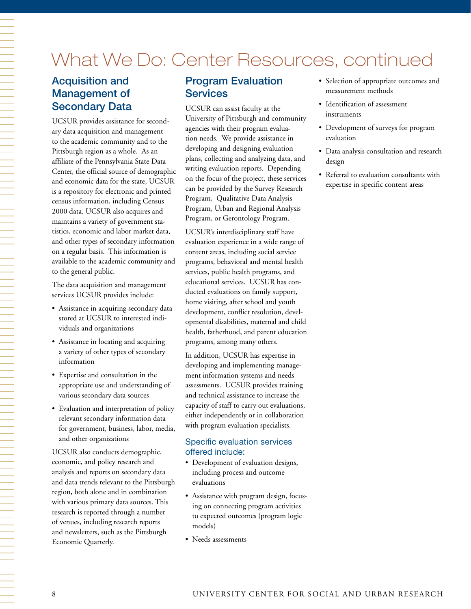# What We Do: Center Resources, continued

## Acquisition and Management of Secondary Data

UCSUR provides assistance for secondary data acquisition and management to the academic community and to the Pittsburgh region as a whole. As an affiliate of the Pennsylvania State Data Center, the official source of demographic and economic data for the state, UCSUR is a repository for electronic and printed census information, including Census 2000 data. UCSUR also acquires and maintains a variety of government statistics, economic and labor market data, and other types of secondary information on a regular basis. This information is available to the academic community and to the general public.

The data acquisition and management services UCSUR provides include:

- • Assistance in acquiring secondary data stored at UCSUR to interested individuals and organizations
- • Assistance in locating and acquiring a variety of other types of secondary information
- • Expertise and consultation in the appropriate use and understanding of various secondary data sources
- Evaluation and interpretation of policy relevant secondary information data for government, business, labor, media, and other organizations

UCSUR also conducts demographic, economic, and policy research and analysis and reports on secondary data and data trends relevant to the Pittsburgh region, both alone and in combination with various primary data sources. This research is reported through a number of venues, including research reports and newsletters, such as the Pittsburgh Economic Quarterly.

### Program Evaluation **Services**

UCSUR can assist faculty at the University of Pittsburgh and community agencies with their program evaluation needs. We provide assistance in developing and designing evaluation plans, collecting and analyzing data, and writing evaluation reports. Depending on the focus of the project, these services can be provided by the Survey Research Program, Qualitative Data Analysis Program, Urban and Regional Analysis Program, or Gerontology Program.

UCSUR's interdisciplinary staff have evaluation experience in a wide range of content areas, including social service programs, behavioral and mental health services, public health programs, and educational services. UCSUR has conducted evaluations on family support, home visiting, after school and youth development, conflict resolution, developmental disabilities, maternal and child health, fatherhood, and parent education programs, among many others.

In addition, UCSUR has expertise in developing and implementing management information systems and needs assessments. UCSUR provides training and technical assistance to increase the capacity of staff to carry out evaluations, either independently or in collaboration with program evaluation specialists.

#### Specific evaluation services offered include:

- Development of evaluation designs, including process and outcome evaluations
- • Assistance with program design, focusing on connecting program activities to expected outcomes (program logic models)
- Needs assessments
- Selection of appropriate outcomes and measurement methods
- Identification of assessment instruments
- • Development of surveys for program evaluation
- • Data analysis consultation and research design
- • Referral to evaluation consultants with expertise in specific content areas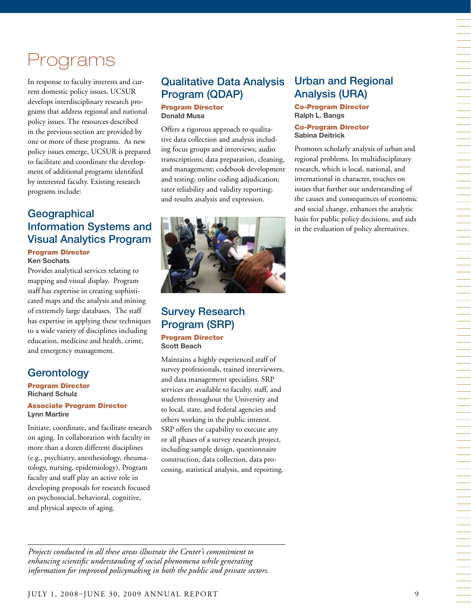# Programs

In response to faculty interests and current domestic policy issues, UCSUR develops interdisciplinary research programs that address regional and national policy issues. The resources described in the previous section are provided by one or more of these programs. As new policy issues emerge, UCSUR is prepared to facilitate and coordinate the development of additional programs identified by interested faculty. Existing research programs include:

## **Geographical** Information Systems and Visual Analytics Program Program Director

**Ken Sochats**

Provides analytical services relating to mapping and visual display. Program staff has expertise in creating sophisticated maps and the analysis and mining of extremely large databases. The staff has expertise in applying these techniques to a wide variety of disciplines including education, medicine and health, crime, and emergency management.

## **Gerontology**

Program Director **Richard Schulz**

#### Associate Program Director **Lynn Martire**

Initiate, coordinate, and facilitate research on aging. In collaboration with faculty in more than a dozen different disciplines (e.g., psychiatry, anesthesiology, rheumatology, nursing, epidemiology), Program faculty and staff play an active role in developing proposals for research focused on psychosocial, behavioral, cognitive, and physical aspects of aging.

### Qualitative Data Analysis Program (QDAP) Program Director **Donald Musa**

Offers a rigorous approach to qualitative data collection and analysis including focus groups and interviews; audio transcriptions; data preparation, cleaning, and management; codebook development and testing; online coding adjudication; rater reliability and validity reporting; and results analysis and expression.



# Survey Research Program (SRP)

Program Director **Scott Beach**

Maintains a highly experienced staff of survey professionals, trained interviewers, and data management specialists. SRP services are available to faculty, staff, and students throughout the University and to local, state, and federal agencies and others working in the public interest. SRP offers the capability to execute any or all phases of a survey research project, including sample design, questionnaire construction, data collection, data processing, statistical analysis, and reporting.

# Urban and Regional Analysis (URA)

Co-Program Director **Ralph L. Bangs**

Co-Program Director **Sabina Deitrick**

Promotes scholarly analysis of urban and regional problems. Its multidisciplinary research, which is local, national, and international in character, touches on issues that further our understanding of the causes and consequences of economic and social change, enhances the analytic basis for public policy decisions, and aids in the evaluation of policy alternatives.

*Projects conducted in all these areas illustrate the Center's commitment to enhancing scientific understanding of social phenomena while generating information for improved policymaking in both the public and private sectors.*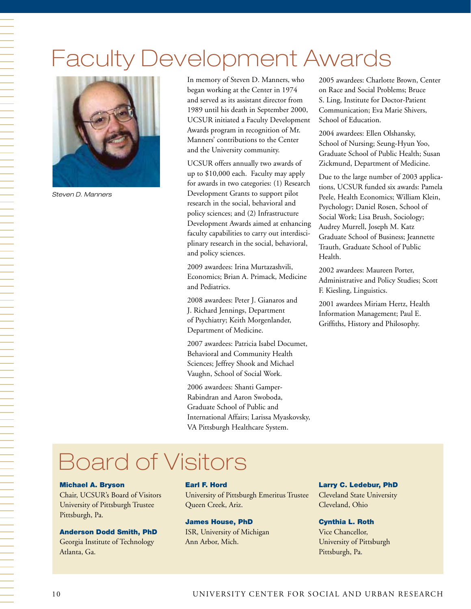# Faculty Development Awards



*Steven D. Manners*

In memory of Steven D. Manners, who began working at the Center in 1974 and served as its assistant director from 1989 until his death in September 2000, UCSUR initiated a Faculty Development Awards program in recognition of Mr. Manners' contributions to the Center and the University community.

UCSUR offers annually two awards of up to \$10,000 each. Faculty may apply for awards in two categories: (1) Research Development Grants to support pilot research in the social, behavioral and policy sciences; and (2) Infrastructure Development Awards aimed at enhancing faculty capabilities to carry out interdisciplinary research in the social, behavioral, and policy sciences.

2009 awardees: Irina Murtazashvili, Economics; Brian A. Primack, Medicine and Pediatrics.

2008 awardees: Peter J. Gianaros and J. Richard Jennings, Department of Psychiatry; Keith Morgenlander, Department of Medicine.

2007 awardees: Patricia Isabel Documet, Behavioral and Community Health Sciences; Jeffrey Shook and Michael Vaughn, School of Social Work.

2006 awardees: Shanti Gamper-Rabindran and Aaron Swoboda, Graduate School of Public and International Affairs; Larissa Myaskovsky, VA Pittsburgh Healthcare System.

2005 awardees: Charlotte Brown, Center on Race and Social Problems; Bruce S. Ling, Institute for Doctor-Patient Communication; Eva Marie Shivers, School of Education.

2004 awardees: Ellen Olshansky, School of Nursing; Seung-Hyun Yoo, Graduate School of Public Health; Susan Zickmund, Department of Medicine.

Due to the large number of 2003 applications, UCSUR funded six awards: Pamela Peele, Health Economics; William Klein, Psychology; Daniel Rosen, School of Social Work; Lisa Brush, Sociology; Audrey Murrell, Joseph M. Katz Graduate School of Business; Jeannette Trauth, Graduate School of Public Health.

2002 awardees: Maureen Porter, Administrative and Policy Studies; Scott F. Kiesling, Linguistics.

2001 awardees Miriam Hertz, Health Information Management; Paul E. Griffiths, History and Philosophy.

# Board of Visitors

#### Michael A. Bryson

Chair, UCSUR's Board of Visitors University of Pittsburgh Trustee Pittsburgh, Pa.

#### Anderson Dodd Smith, PhD

Georgia Institute of Technology Atlanta, Ga.

#### Earl F. Hord

University of Pittsburgh Emeritus Trustee Queen Creek, Ariz.

James House, PhD ISR, University of Michigan Ann Arbor, Mich.

#### Larry C. Ledebur, PhD

Cleveland State University Cleveland, Ohio

#### Cynthia L. Roth

Vice Chancellor, University of Pittsburgh Pittsburgh, Pa.

一个人的人,我们也不是一个人的人,我们也不是一个人的人,我们也不是一个人的人,我们也不是一个人的人,我们也不是一个人的人,我们也不是一个人的人,我们也不是一个人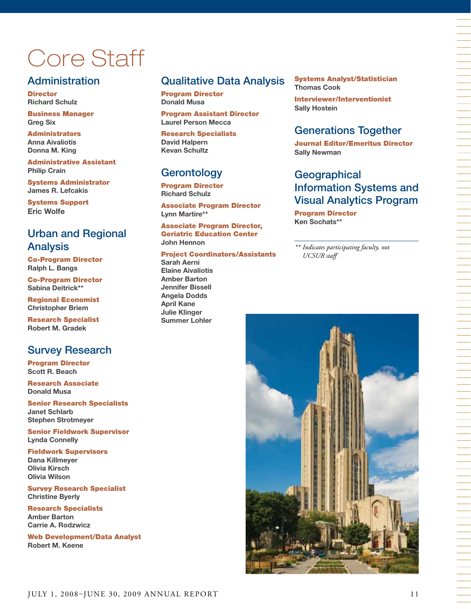# Core Staff

## **Administration**

**Director Richard Schulz** 

Business Manager **Greg Six** 

Administrators **Anna Aivaliotis Donna M. King**

Administrative Assistant **Philip Crain** 

Systems Administrator **James R. Lefcakis**

Systems Support **Eric Wolfe**

## Urban and Regional Analysis

Co-Program Director **Ralph L. Bangs** 

Co-Program Director **Sabina Deitrick\*\***

Regional Economist **Christopher Briem**

Research Specialist **Robert M. Gradek**

## Survey Research

Program Director **Scott R. Beach**

Research Associate **Donald Musa** 

Senior Research Specialists **Janet Schlarb Stephen Strotmeyer**

Senior Fieldwork Supervisor **Lynda Connelly**

Fieldwork Supervisors **Dana Killmeyer Olivia Kirsch Olivia Wilson**

Survey Research Specialist **Christine Byerly**

Research Specialists **Amber Barton Carrie A. Rodzwicz**

Web Development/Data Analyst **Robert M. Keene**

## Qualitative Data Analysis

Program Director **Donald Musa**

Program Assistant Director **Laurel Person Mecca**

Research Specialists **David Halpern Kevan Schultz**

# **Gerontology**

Program Director **Richard Schulz**

Associate Program Director **Lynn Martire\*\*** 

Associate Program Director, Geriatric Education Center **John Hennon** 

Project Coordinators/Assistants

**Sarah Aerni Elaine Aivaliotis Amber Barton Jennifer Bissell Angela Dodds April Kane Julie Klinger Summer Lohler**

#### Systems Analyst/Statistician **Thomas Cook**

Interviewer/Interventionist **Sally Hostein**

## Generations Together

Journal Editor/Emeritus Director **Sally Newman**

# **Geographical** Information Systems and Visual Analytics Program

Program Director **Ken Sochats\*\***

*\*\* Indicates participating faculty, not UCSUR staff* 

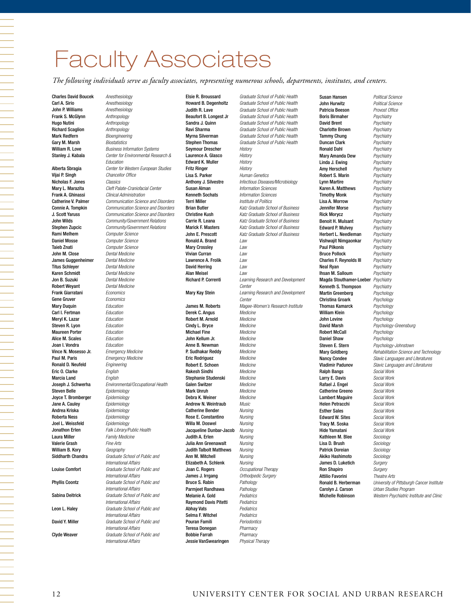# Faculty Associates

*The following individuals serve as faculty associates, representing numerous schools, departments, institutes, and centers.*

Charles David Boucek *Anesthesiology* Carl A. Sirio *Anesthesiology* John P. Williams *Anesthesiology* Frank S. McGlynn *Anthropology* Hugo Nutini *Anthropology* Richard Scaglion *Anthropology* Mark Redfern *Bioengineering* Gary M. Marsh *Biostatistics*

Vijai P. Singh *Chancellor Office* Nicholas F. Jones *Classics* Frank A. Ghinassi *Clinical Administration* Rami Melhem *Computer Science* Daniel Mosse *Computer Science* Taieb Znati *Computer Science* John M. Close *Dental Medicine* James Guggenheimer *Dental Medicine* Titus Schleyer *Dental Medicine* Karen Schmidt *Dental Medicine* Jon B. Suzuki *Dental Medicine* Robert Weyant *Dental Medicine* Frank Giarratani *Economics* Gene Gruver *Economics* Mary Duquin *Education* Carl I. Fertman *Education* Meryl K. Lazar *Education* Steven R. Lyon *Education* Maureen Porter *Education* Alice M. Scales *Education* Joan I. Vondra *Education* Vince N. Mosesso Jr. *Emergency Medicine* Paul M. Paris *Emergency Medicine* Ronald D. Neufeld *Engineering* Eric O. Clarke *English* Marcia Land *English* Steven Belle *Epidemiology* Joyce T. Bromberger *Epidemiology* Jane A. Cauley *Epidemiology* Andrea Kriska *Epidemiology* Roberta Ness *Epidemiology* Joel L. Weissfeld *Epidemiology* Laura Miller *Family Medicine* Valerie Grash *Fine Arts* William B. Kory *Geography*

William R. Love *Business Information Systems* Stanley J. Kabala *Center for Environmental Research & Education* Alberta Sbragia *Center for Western European Studies* Mary L. Marazita *Cleft Palate-Craniofacial Center* Catherine V. Palmer *Communication Science and Disorders* Connie A. Tompkin *Communication Science and Disorders* J. Scott Yaruss *Communication Science and Disorders* John Wilds *Community/Government Relations* Stephen Zupcic *Community/Government Relations* Joseph J. Schwerha *Environmental/Occupational Health* Jonathon Erlen *Falk Library/Public Health* Siddharth Chandra *Graduate School of Public and International Affairs* Louise Comfort *Graduate School of Public and International Affairs* Phyllis Coontz *Graduate School of Public and International Affairs* Sabina Deitrick *Graduate School of Public and International Affairs* Leon L. Haley *Graduate School of Public and International Affairs*  David Y. Miller *Graduate School of Public and International Affairs* Clyde Weaver *Graduate School of Public and International Affairs*

Seymour Drescher *History* Laurence A. Glasco *History* Edward K. Muller *History* Fritz Ringer *History* Lisa S. Parker *Human Genetics* Susan Alman *Information Sciences* Kenneth Sochats *Information Sciences* Terri Miller *Institute of Politics* Ronald A. Brand *Law* Mary Crossley *Law* Vivian Curran *Law* Lawrence A. Frolik *Law* David Herring *Law* Alan Meisel *Law* Derek C. Angus *Medicine* Robert M. Arnold *Medicine* Cindy L. Bryce *Medicine* Michael Fine *Medicine* John Kellum Jr. *Medicine* Anne B. Newman *Medicine* P. Sudhakar Reddy *Medicine* Eric Rodriguez *Medicine* Robert E. Schoen *Medicine* Rakesh Sindhi *Medicine* Stephanie Studenski *Medicine* Galen Switzer *Medicine* Mark Unruh *Medicine* Debra K. Weiner *Medicine* Andrew N. Weintraub *Music* Catherine Bender *Nursing* Rose E. Constantino *Nursing* Willa M. Doswel Jacqueline Dunbar-Jacob *Nursing* Judith A. Erlen *Nursing* Julia Ann Greenawalt *Nursing* Judith Talbolt Matthews *Nursing* Ann M. Mitchell *Nursing* Elizabeth A. Schlenk Joan C. Rogers *Occupational Therapy* James J. Irrgang *Orthodpedic Surgery* Bruce S. Rabin *Pathology* Parmjeet Randhawa *Pathology* Melanie A. Gold *Pediatrics* Raymond Davis Pitetti *Pediatrics* Abhay Vats *Pediatrics* Selma F. Witchel *Pediatrics* Pouran Famili *Periodontics* Teresa Donegan *Pharmacy* Bobbie Farrah *Pharmacy* Jessie VanSwearingen *Physical Therapy*

Elsie R. Broussard *Graduate School of Public Health* Howard B. Degenholtz *Graduate School of Public Health* Judith R. Lave *Graduate School of Public Health* Beaufort B. Longest Jr *Graduate School of Public Health* Sandra J. Quinn *Graduate School of Public Health* Ravi Sharma *Graduate School of Public Health* Myrna Silverman *Graduate School of Public Health* Stephen Thomas *Graduate School of Public Health* Anthony J. Silvestre *Infectious Diseases/Microbiology* Brian Butler *Katz Graduate School of Business* Christine Kush *Katz Graduate School of Business* Carrie R. Leana *Katz Graduate School of Business* Marick F. Masters *Katz Graduate School of Business* John E. Prescott *Katz Graduate School of Business* Richard P. Correnti *Learning Research and Development Center* Mary Kay Stein *Learning Research and Development Center* James M. Roberts *Magee-Women's Research Institute*

John Hurwitz *Political Science* Patricia Beeson *Provost Office* Boris Birmaher *Psychiatry* David Brent *Psychiatry* Charlotte Brown *Psychiatry* Tammy Chung *Psychiatry* Duncan Clark *Psychiatry* Ronald Dahl *Psychiatry* Mary Amanda Dew *Psychiatry* Linda J. Ewing *Psychiatry* **Amy Herschell** Robert S. Marin *Psychiatry* Lynn Martire *Psychiatry* Karen A. Matthews *Psychiatry* Timothy Monk *Psychiatry* Lisa A. Morrow *Psychiatry* Jennifer Morse *Psychiatry* Rick Morycz *Psychiatry* **Benoit H. Mulsant** *Psychiatry*<br>**Edward P. Mulvey** *Psychiatry* **Edward P. Mulvey** Herbert L. Needleman *Psychiatry* Vishwajit Nimgaonkar *Psychiatry* **Paul Pilkonis** Bruce Pollock *Psychiatry* Charles F. Reynolds III *Psychiatry* Neal Ryan *Psychiatry* Ihsan M. Salloum *Psychiatry* Magda Stouthamer-Loeber *Psychiatry* Kenneth S. Thompson *Psychiatry* Martin Greenberg *Psychology* Christina Groark *Psychology* Thomas Kamarck *Psychology* William Klein *Psychology* John Levine *Psychology* Robert McCall *Psychology* **Daniel Shaw** *Psychology*<br>Steven F. Stern *Psychology* Ralph Bangs *Social Work* Larry E. Davis *Social Work* Rafael J. Engel *Social Work* Catherine Greeno *Social Work* Lambert Maguire *Social Work* Helen Petracchi *Social Work* Esther Sales *Social Work* Edward W. Sites *Social Work* Tracy M. Soska *Social Work* Hide Yamatani *Social Work* Kathleen M. Blee *Sociology* Lisa D. Brush *Sociology* Patrick Doreian *Sociology* Akiko Hashimoto *Sociology* James D. Luketich *Surgery* Ron Shapiro *Surgery* Attilio Favorini *Theatre Arts* Michelle Robinson *Western Psychiatric Institute and Clinic*

Susan Hansen *Political Science* David Marsh *Psychology-Greensburg* Steven E. Stern *Psychology-Johnstown* Mary Goldberg *Rehabilitation Science and Technology* Nancy Condee *Slavic Languages and Literatures* Vladimir Padunov *Slavic Languages and Literatures* Ronald B. Herberman *University of Pittsburgh Cancer Institute* Carolyn J. Carson *Urban Studies Program*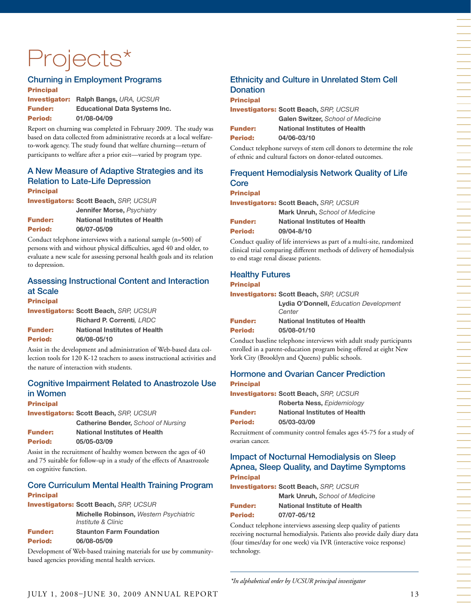# Projects\*

#### Churning in Employment Programs

Principal Investigator: **Ralph Bangs,** *URA, UCSUR* Funder: **Educational Data Systems Inc.** Period: **01/08-04/09**

Report on churning was completed in February 2009. The study was based on data collected from administrative records at a local welfareto-work agency. The study found that welfare churning—return of participants to welfare after a prior exit—varied by program type.

#### A New Measure of Adaptive Strategies and its Relation to Late-Life Depression

#### **Principal**

to depression.

Investigators: **Scott Beach,** *SRP, UCSUR* **Jennifer Morse,** *Psychiatry* Funder: **National Institutes of Health**

Period: **06/07-05/09** Conduct telephone interviews with a national sample (n=500) of persons with and without physical difficulties, aged 40 and older, to evaluate a new scale for assessing personal health goals and its relation

### Assessing Instructional Content and Interaction at Scale Principal

Investigators: **Scott Beach,** *SRP, UCSUR* **Richard P. Correnti***, LRDC* Funder: **National Institutes of Health** Period: **06/08-05/10**

Assist in the development and administration of Web-based data collection tools for 120 K-12 teachers to assess instructional activities and the nature of interaction with students.

#### Cognitive Impairment Related to Anastrozole Use in Women **Principal**

Investigators: **Scott Beach,** *SRP, UCSUR* **Catherine Bender,** *School of Nursing* Funder: **National Institutes of Health** Period: **05/05-03/09**

Assist in the recruitment of healthy women between the ages of 40 and 75 suitable for follow-up in a study of the effects of Anastrozole on cognitive function.

#### Core Curriculum Mental Health Training Program Principal

Investigators: **Scott Beach,** *SRP, UCSUR*

**Michelle Robinson,** *Western Psychiatric Institute & Clinic* Funder: **Staunton Farm Foundation** Period: **06/08-05/09**

Development of Web-based training materials for use by communitybased agencies providing mental health services.

### Ethnicity and Culture in Unrelated Stem Cell Donation

**Principal** 

Investigators: **Scott Beach,** *SRP, UCSUR* **Galen Switzer,** *School of Medicine* 

| <b>Funder:</b> | <b>National Institutes of Health</b> |
|----------------|--------------------------------------|
| <b>Period:</b> | 04/06-03/10                          |

Conduct telephone surveys of stem cell donors to determine the role of ethnic and cultural factors on donor-related outcomes.

#### Frequent Hemodialysis Network Quality of Life Core

#### **Principal**

Investigators: **Scott Beach,** *SRP, UCSUR* **Mark Unruh,** *School of Medicine* 

|                | <b>Mark Unrun.</b> Scribol of Medicin |
|----------------|---------------------------------------|
| <b>Funder:</b> | <b>National Institutes of Health</b>  |
| <b>Period:</b> | 09/04-8/10                            |

Conduct quality of life interviews as part of a multi-site, randomized clinical trial comparing different methods of delivery of hemodialysis to end stage renal disease patients.

#### Healthy Futures

#### **Principal**

| <b>Investigators: Scott Beach, SRP, UCSUR</b> |                                        |
|-----------------------------------------------|----------------------------------------|
|                                               | Lydia O'Donnell, Education Development |
|                                               | Center                                 |
| <b>Funder:</b>                                | <b>National Institutes of Health</b>   |
| <b>Period:</b>                                | 05/08-01/10                            |
|                                               |                                        |

Conduct baseline telephone interviews with adult study participants enrolled in a parent-education program being offered at eight New York City (Brooklyn and Queens) public schools.

#### Hormone and Ovarian Cancer Prediction **Principal**

Investigators: **Scott Beach,** *SRP, UCSUR*

|                | Roberta Ness, Epidemiology           |
|----------------|--------------------------------------|
| <b>Funder:</b> | <b>National Institutes of Health</b> |
| <b>Period:</b> | 05/03-03/09                          |
|                |                                      |

Recruitment of community control females ages 45-75 for a study of ovarian cancer.

#### Impact of Nocturnal Hemodialysis on Sleep Apnea, Sleep Quality, and Daytime Symptoms Principal

Investigators: **Scott Beach,** *SRP, UCSUR* **Mark Unruh,** *School of Medicine* Funder: **National Institute of Health** Period: **07/07-05/12**

Conduct telephone interviews assessing sleep quality of patients receiving nocturnal hemodialysis. Patients also provide daily diary data (four times/day for one week) via IVR (interactive voice response) technology.

*\*In alphabetical order by UCSUR principal investigator*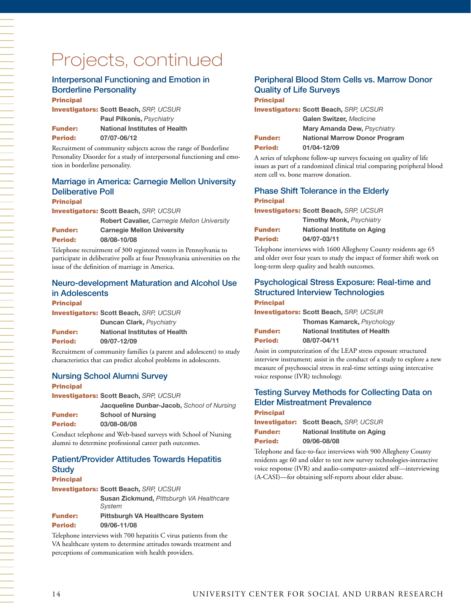# Projects, continued

#### Interpersonal Functioning and Emotion in Borderline Personality

#### Principal

Investigators: **Scott Beach,** *SRP, UCSUR* **Paul Pilkonis,** *Psychiatry*

| <b>Funder:</b> | <b>National Institutes of Health</b> |
|----------------|--------------------------------------|
| Period:        | 07/07-06/12                          |

Recruitment of community subjects across the range of Borderline Personality Disorder for a study of interpersonal functioning and emotion in borderline personality.

#### Marriage in America: Carnegie Mellon University Deliberative Poll

#### **Principal**

Investigators: **Scott Beach,** *SRP, UCSUR*

|                | <b>Robert Cavalier, Carnegie Mellon University</b> |
|----------------|----------------------------------------------------|
| <b>Funder:</b> | <b>Carnegie Mellon University</b>                  |
| <b>Period:</b> | 08/08-10/08                                        |

Telephone recruitment of 300 registered voters in Pennsylvania to participate in deliberative polls at four Pennsylvania universities on the issue of the definition of marriage in America.

#### Neuro-development Maturation and Alcohol Use in Adolescents

#### **Principal**

一个人的事情,我们就是一个人的事情。""我们,我们就是一个人的事情,我们就是一个人的事情。""我们,我们就是一个人的事情。""我们,我们就是一个人的事情。""我<br>第二十一章 第二十二章 第二十二章 第二十二章 第二十二章 第二十二章 第二十二章 第二十三章 第二十三章 第二十三章 第二十三章 第二十三章 第二十三章 第二十

Investigators: **Scott Beach,** *SRP, UCSUR* **Duncan Clark,** *Psychiatry*

|                | $\mathbf{r}$                         |
|----------------|--------------------------------------|
| <b>Funder:</b> | <b>National Institutes of Health</b> |
| <b>Period:</b> | 09/07-12/09                          |

Recruitment of community families (a parent and adolescent) to study characteristics that can predict alcohol problems in adolescents.

#### Nursing School Alumni Survey

| <b>Principal</b> |                                               |
|------------------|-----------------------------------------------|
|                  | <b>Investigators: Scott Beach, SRP, UCSUR</b> |
|                  | Jacqueline Dunbar-Jacob, School of Nursing    |
| <b>Funder:</b>   | <b>School of Nursing</b>                      |
| <b>Period:</b>   | 03/08-08/08                                   |
|                  |                                               |

Conduct telephone and Web-based surveys with School of Nursing alumni to determine professional career path outcomes.

#### Patient/Provider Attitudes Towards Hepatitis **Study** Principal

|                | <b>Investigators: Scott Beach, SRP, UCSUR</b>             |
|----------------|-----------------------------------------------------------|
|                | <b>Susan Zickmund, Pittsburgh VA Healthcare</b><br>System |
| <b>Funder:</b> | <b>Pittsburgh VA Healthcare System</b>                    |
| <b>Period:</b> | 09/06-11/08                                               |

Telephone interviews with 700 hepatitis C virus patients from the VA healthcare system to determine attitudes towards treatment and perceptions of communication with health providers.

#### Peripheral Blood Stem Cells vs. Marrow Donor Quality of Life Surveys

#### **Principal**

|                | <b>Investigators: Scott Beach, SRP, UCSUR</b> |
|----------------|-----------------------------------------------|
|                | Galen Switzer, Medicine                       |
|                | <b>Mary Amanda Dew, Psychiatry</b>            |
| <b>Funder:</b> | <b>National Marrow Donor Program</b>          |
| Period:        | 01/04-12/09                                   |

A series of telephone follow-up surveys focusing on quality of life issues as part of a randomized clinical trial comparing peripheral blood stem cell vs. bone marrow donation.

#### Phase Shift Tolerance in the Elderly Principal

Investigators: **Scott Beach,** *SRP, UCSUR* **Timothy Monk,** *Psychiatry*

| <b>Funder:</b> | <b>National Institute on Aging</b> |
|----------------|------------------------------------|
| Period:        | 04/07-03/11                        |

Telephone interviews with 1600 Allegheny County residents age 65 and older over four years to study the impact of former shift work on long-term sleep quality and health outcomes.

#### Psychological Stress Exposure: Real-time and Structured Interview Technologies **Principal**

Investigators: **Scott Beach,** *SRP, UCSUR*

|                | <b>Thomas Kamarck, Psychology</b>    |  |  |
|----------------|--------------------------------------|--|--|
| <b>Funder:</b> | <b>National Institutes of Health</b> |  |  |
| <b>Period:</b> | 08/07-04/11                          |  |  |

Assist in computerization of the LEAP stress exposure structured interview instrument; assist in the conduct of a study to explore a new measure of psychosocial stress in real-time settings using intercative voice response (IVR) technology.

#### Testing Survey Methods for Collecting Data on Elder Mistreatment Prevalence

**Principal** Investigator: **Scott Beach,** *SRP, UCSUR*

Funder: **National Institute on Aging** Period: **09/06-08/08**

Telephone and face-to-face interviews with 900 Allegheny County residents age 60 and older to test new survey technologies-interactive voice response (IVR) and audio-computer-assisted self—interviewing (A-CASI)—for obtaining self-reports about elder abuse.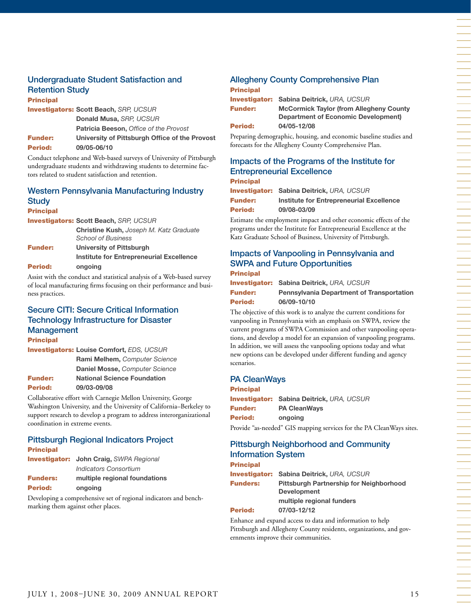#### Undergraduate Student Satisfaction and Retention Study

#### Principal Investigators: **Scott Beach,** *SRP, UCSUR* **Donald Musa,** *SRP, UCSUR* **Patricia Beeson,** *Office of the Provost* Funder: **University of Pittsburgh Office of the Provost** Period: **09/05-06/10**

Conduct telephone and Web-based surveys of University of Pittsburgh undergraduate students and withdrawing students to determine factors related to student satisfaction and retention.

### Western Pennsylvania Manufacturing Industry **Study**

#### **Principal**

Investigators: **Scott Beach,** *SRP, UCSUR*

|                | <b>Christine Kush, Joseph M. Katz Graduate</b>  |
|----------------|-------------------------------------------------|
|                | <b>School of Business</b>                       |
| <b>Funder:</b> | University of Pittsburgh                        |
|                | <b>Institute for Entrepreneurial Excellence</b> |
| <b>Period:</b> | ongoing                                         |

Assist with the conduct and statistical analysis of a Web-based survey of local manufacturing firms focusing on their performance and business practices.

#### Secure CITI: Secure Critical Information Technology Infrastructure for Disaster Management

**Principal** 

|                | <b>Investigators: Louise Comfort, EDS, UCSUR</b> |  |  |
|----------------|--------------------------------------------------|--|--|
|                | Rami Melhem, Computer Science                    |  |  |
|                | Daniel Mosse, Computer Science                   |  |  |
| <b>Funder:</b> | <b>National Science Foundation</b>               |  |  |
| Period:        | 09/03-09/08                                      |  |  |

Collaborative effort with Carnegie Mellon University, George Washington University, and the University of California–Berkeley to support research to develop a program to address interorganizational coordination in extreme events.

#### Pittsburgh Regional Indicators Project

| <b>Principal</b> |                                                |
|------------------|------------------------------------------------|
|                  | <b>Investigator: John Craig, SWPA Regional</b> |
|                  | Indicators Consortium                          |
| <b>Funders:</b>  | multiple regional foundations                  |
| <b>Period:</b>   | ongoing                                        |

Developing a comprehensive set of regional indicators and benchmarking them against other places.

#### Allegheny County Comprehensive Plan Principal

|                | <b>Investigator: Sabina Deitrick, URA, UCSUR</b> |  |  |
|----------------|--------------------------------------------------|--|--|
| <b>Funder:</b> | <b>McCormick Taylor (from Allegheny County</b>   |  |  |
|                | <b>Department of Economic Development)</b>       |  |  |
| <b>Period:</b> | 04/05-12/08                                      |  |  |

Preparing demographic, housing, and economic baseline studies and forecasts for the Allegheny County Comprehensive Plan.

#### Impacts of the Programs of the Institute for Entrepreneurial Excellence

#### Principal

|                | <b>Investigator: Sabina Deitrick, URA, UCSUR</b> |  |  |  |
|----------------|--------------------------------------------------|--|--|--|
| <b>Funder:</b> | Institute for Entrepreneurial Excellence         |  |  |  |
| <b>Period:</b> | 09/08-03/09                                      |  |  |  |

Estimate the employment impact and other economic effects of the programs under the Institute for Entrepreneurial Excellence at the Katz Graduate School of Business, University of Pittsburgh.

#### Impacts of Vanpooling in Pennsylvania and SWPA and Future Opportunities Principal

|                | <b>Investigator: Sabina Deitrick, URA, UCSUR</b> |  |
|----------------|--------------------------------------------------|--|
| <b>Funder:</b> | <b>Pennsylvania Department of Transportation</b> |  |
| <b>Period:</b> | 06/09-10/10                                      |  |

The objective of this work is to analyze the current conditions for vanpooling in Pennsylvania with an emphasis on SWPA, review the current programs of SWPA Commission and other vanpooling operations, and develop a model for an expansion of vanpooling programs. In addition, we will assess the vanpooling options today and what new options can be developed under different funding and agency scenarios.

#### PA CleanWays Principal

| <b>FIIIIvipal</b> |                                                                      |
|-------------------|----------------------------------------------------------------------|
|                   | <b>Investigator: Sabina Deitrick, URA, UCSUR</b>                     |
| <b>Funder:</b>    | <b>PA CleanWavs</b>                                                  |
| Period:           | ongoing                                                              |
|                   | Provide "as-needed" GIS mapping services for the PA CleanWays sites. |

#### Pittsburgh Neighborhood and Community Information System

| <b>Principal</b> |                                                                      |
|------------------|----------------------------------------------------------------------|
|                  | <b>Investigator: Sabina Deitrick, URA, UCSUR</b>                     |
| <b>Funders:</b>  | <b>Pittsburgh Partnership for Neighborhood</b><br><b>Development</b> |
|                  | multiple regional funders                                            |
| <b>Period:</b>   | 07/03-12/12                                                          |

Enhance and expand access to data and information to help Pittsburgh and Allegheny County residents, organizations, and governments improve their communities.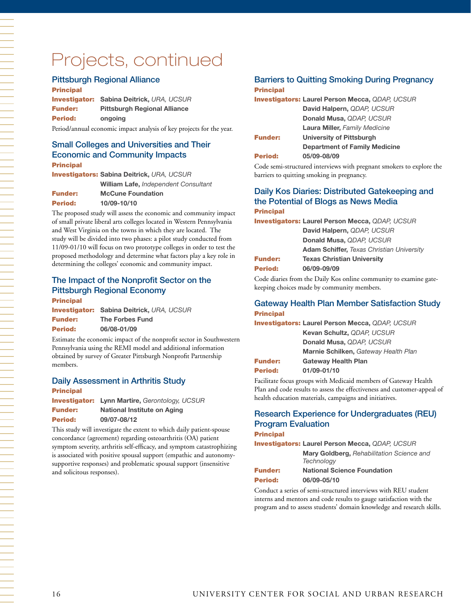# Projects, continued

#### Pittsburgh Regional Alliance

#### Principal

|                | <b>Investigator: Sabina Deitrick, URA, UCSUR</b> |  |  |
|----------------|--------------------------------------------------|--|--|
| <b>Funder:</b> | <b>Pittsburgh Regional Alliance</b>              |  |  |
| <b>Period:</b> | ongoing                                          |  |  |
|                |                                                  |  |  |

Period/annual economic impact analysis of key projects for the year.

#### Small Colleges and Universities and Their Economic and Community Impacts Principal

|  |  | <b>Investigators: Sabina Deitrick, URA, UCSUR</b> |
|--|--|---------------------------------------------------|
|  |  | William Lafe, Independent Consultant              |
|  |  |                                                   |

| <b>Funder:</b> | <b>McCune Foundation</b> |
|----------------|--------------------------|
| Period:        | 10/09-10/10              |

The proposed study will assess the economic and community impact of small private liberal arts colleges located in Western Pennsylvania and West Virginia on the towns in which they are located. The study will be divided into two phases: a pilot study conducted from 11/09-01/10 will focus on two prototype colleges in order to test the proposed methodology and determine what factors play a key role in determining the colleges' economic and community impact.

#### The Impact of the Nonprofit Sector on the Pittsburgh Regional Economy Principal

|                | <b>Investigator: Sabina Deitrick, URA, UCSUR</b> |
|----------------|--------------------------------------------------|
| <b>Funder:</b> | <b>The Forbes Fund</b>                           |
| Period:        | 06/08-01/09                                      |

Estimate the economic impact of the nonprofit sector in Southwestern Pennsylvania using the REMI model and additional information obtained by survey of Greater Pittsburgh Nonprofit Partnership members.

#### Daily Assessment in Arthritis Study Principal

|         | <b>Investigator: Lynn Martire, Gerontology, UCSUR</b> |
|---------|-------------------------------------------------------|
| Funder: | National Institute on Aging                           |
| Period: | 09/07-08/12                                           |

This study will investigate the extent to which daily patient-spouse concordance (agreement) regarding osteoarthritis (OA) patient symptom severity, arthritis self-efficacy, and symptom catastrophizing is associated with positive spousal support (empathic and autonomysupportive responses) and problematic spousal support (insensitive and solicitous responses).

#### Barriers to Quitting Smoking During Pregnancy **Principal**

#### Investigators: **Laurel Person Mecca,** *QDAP, UCSUR* **David Halpern,** *QDAP, UCSUR*  **Donald Musa,** *QDAP, UCSUR*  **Laura Miller,** *Family Medicine* Funder: **University of Pittsburgh Department of Family Medicine** Period: **05/09-08/09**

Code semi-structured interviews with pregnant smokers to explore the barriers to quitting smoking in pregnancy.

#### Daily Kos Diaries: Distributed Gatekeeping and the Potential of Blogs as News Media **Principal**

| <b>Adam Schiffer, Texas Christian University</b> |
|--------------------------------------------------|
|                                                  |
|                                                  |
|                                                  |

Code diaries from the Daily Kos online community to examine gatekeeping choices made by community members.

#### Gateway Health Plan Member Satisfaction Study **Principal**

Investigators: **Laurel Person Mecca,** *QDAP, UCSUR*

|                | Kevan Schultz, QDAP, UCSUR           |
|----------------|--------------------------------------|
|                | Donald Musa, QDAP, UCSUR             |
|                | Marnie Schilken, Gateway Health Plan |
| <b>Funder:</b> | <b>Gateway Health Plan</b>           |
| <b>Period:</b> | 01/09-01/10                          |

Facilitate focus groups with Medicaid members of Gateway Health Plan and code results to assess the effectiveness and customer-appeal of health education materials, campaigns and initiatives.

### Research Experience for Undergraduates (REU) Program Evaluation

#### Principal

Investigators: **Laurel Person Mecca,** *QDAP, UCSUR* **Mary Goldberg,** *Rehabilitation Science and Technology*

# Funder: **National Science Foundation**

Period: **06/09-05/10**

Conduct a series of semi-structured interviews with REU student interns and mentors and code results to gauge satisfaction with the program and to assess students' domain knowledge and research skills.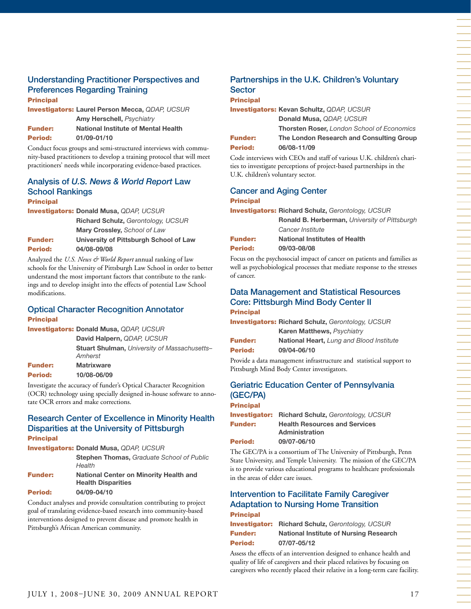#### Understanding Practitioner Perspectives and Preferences Regarding Training

#### Principal

Period: **01/09-01/10**

Investigators: **Laurel Person Mecca,** *QDAP, UCSUR* **Amy Herschell,** *Psychiatry* Funder: **National Institute of Mental Health**

Conduct focus groups and semi-structured interviews with community-based practitioners to develop a training protocol that will meet practitioners' needs while incorporating evidence-based practices.

#### Analysis of *U.S. News & World Report* Law School Rankings

#### Principal

Investigators: **Donald Musa,** *QDAP, UCSUR* **Richard Schulz,** *Gerontology, UCSUR* **Mary Crossley,** *School of Law* Funder: **University of Pittsburgh School of Law** Period: **04/08-09/08**

Analyzed the *U.S. News & World Report* annual ranking of law schools for the University of Pittsburgh Law School in order to better understand the most important factors that contribute to the rankings and to develop insight into the effects of potential Law School modifications.

#### Optical Character Recognition Annotator **Principal**

Investigators: **Donald Musa,** *QDAP, UCSUR*

|                | David Halpern, QDAP, UCSUR                                     |
|----------------|----------------------------------------------------------------|
|                | <b>Stuart Shulman, University of Massachusetts-</b><br>Amherst |
| <b>Funder:</b> | <b>Matrixware</b>                                              |
| <b>Period:</b> | 10/08-06/09                                                    |

Investigate the accuracy of funder's Optical Character Recognition (OCR) technology using specially designed in-house software to annotate OCR errors and make corrections.

#### Research Center of Excellence in Minority Health Disparities at the University of Pittsburgh **Principal**

Investigators: **Donald Musa,** *QDAP, UCSUR*

|                | <b>Stephen Thomas, Graduate School of Public</b><br>Health                 |
|----------------|----------------------------------------------------------------------------|
| <b>Funder:</b> | <b>National Center on Minority Health and</b><br><b>Health Disparities</b> |
| <b>Period:</b> | 04/09-04/10                                                                |

Conduct analyses and provide consultation contributing to project goal of translating evidence-based research into community-based interventions designed to prevent disease and promote health in Pittsburgh's African American community.

#### Partnerships in the U.K. Children's Voluntary **Sector**

#### Principal

|                | <b>Investigators: Kevan Schultz, QDAP, UCSUR</b>  |
|----------------|---------------------------------------------------|
|                | Donald Musa, QDAP, UCSUR                          |
|                | <b>Thorsten Roser, London School of Economics</b> |
| <b>Funder:</b> | The London Research and Consulting Group          |
| <b>Period:</b> | 06/08-11/09                                       |
|                |                                                   |

Code interviews with CEOs and staff of various U.K. children's charities to investigate perceptions of project-based partnerships in the U.K. children's voluntary sector.

#### Cancer and Aging Center **Principal**

Investigators: **Richard Schulz,** *Gerontology, UCSUR* **Ronald B. Herberman,** *University of Pittsburgh*

|                | Cancer Institute                     |
|----------------|--------------------------------------|
| <b>Funder:</b> | <b>National Institutes of Health</b> |
| <b>Period:</b> | 09/03-08/08                          |

Focus on the psychosocial impact of cancer on patients and families as well as psychobiological processes that mediate response to the stresses of cancer.

#### Data Management and Statistical Resources Core: Pittsburgh Mind Body Center II Principal

|                | <b>Investigators: Richard Schulz, Gerontology, UCSUR</b> |
|----------------|----------------------------------------------------------|
|                | <b>Karen Matthews, Psychiatry</b>                        |
| <b>Funder:</b> | <b>National Heart, Lung and Blood Institute</b>          |
| <b>Period:</b> | 09/04-06/10                                              |

Provide a data management infrastructure and statistical support to Pittsburgh Mind Body Center investigators.

#### Geriatric Education Center of Pennsylvania (GEC/PA)

#### Principal

|         | <b>Investigator:</b> Richard Schulz, Gerontology, UCSUR |
|---------|---------------------------------------------------------|
| Funder: | <b>Health Resources and Services</b>                    |
|         | <b>Administration</b>                                   |
| Period: | 09/07-06/10                                             |

The GEC/PA is a consortium of The University of Pittsburgh, Penn State University, and Temple University. The mission of the GEC/PA is to provide various educational programs to healthcare professionals in the areas of elder care issues.

#### Intervention to Facilitate Family Caregiver Adaptation to Nursing Home Transition **Principal**

Investigator: **Richard Schulz,** *Gerontology, UCSUR* Funder: **National Institute of Nursing Research** Period: **07/07-05/12**

Assess the effects of an intervention designed to enhance health and quality of life of caregivers and their placed relatives by focusing on caregivers who recently placed their relative in a long-term care facility. 一个人,我们就是一个人的事情,我们就是一个人的事情。""我们,我们就是一个人的事情,我们就是一个人的事情。""我们,我们就是一个人的事情。""我们,我们就是一个人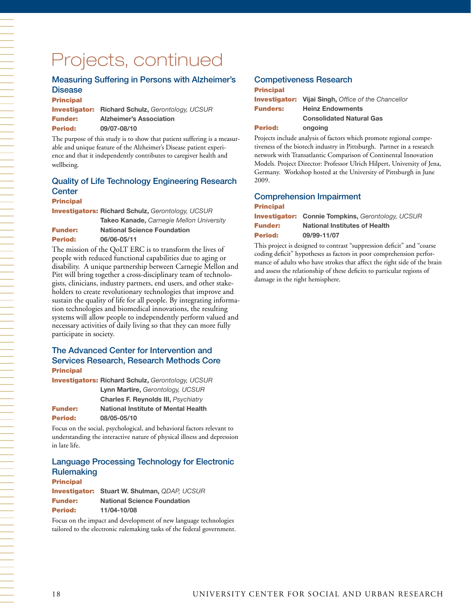# Projects, continued

#### Measuring Suffering in Persons with Alzheimer's **Disease**

#### Principal

|                | <b>Investigator:</b> Richard Schulz, Gerontology, UCSUR |
|----------------|---------------------------------------------------------|
| <b>Funder:</b> | <b>Alzheimer's Association</b>                          |
| <b>Period:</b> | 09/07-08/10                                             |

The purpose of this study is to show that patient suffering is a measurable and unique feature of the Alzheimer's Disease patient experience and that it independently contributes to caregiver health and wellbeing.

### Quality of Life Technology Engineering Research **Center**

#### **Principal**

一个人,我们就是一个人,我们就是一个人,我们就是一个人,我们就是一个人,我们就是一个人,我们就是一个人,我们就是一个人,我们就是一个人,我们就是一个人,我们就是一

Investigators: **Richard Schulz,** *Gerontology, UCSUR* **Takeo Kanade,** *Carnegie Mellon University*

|                | rantoo namaao, cambagio mononi c   |
|----------------|------------------------------------|
| <b>Funder:</b> | <b>National Science Foundation</b> |
| <b>Period:</b> | 06/06-05/11                        |

The mission of the QoLT ERC is to transform the lives of people with reduced functional capabilities due to aging or disability. A unique partnership between Carnegie Mellon and Pitt will bring together a cross-disciplinary team of technologists, clinicians, industry partners, end users, and other stakeholders to create revolutionary technologies that improve and sustain the quality of life for all people. By integrating information technologies and biomedical innovations, the resulting systems will allow people to independently perform valued and necessary activities of daily living so that they can more fully participate in society.

#### The Advanced Center for Intervention and Services Research, Research Methods Core Principal

Investigators: **Richard Schulz,** *Gerontology, UCSUR* **Lynn Martire,** *Gerontology, UCSUR* **Charles F. Reynolds III,** *Psychiatry* Funder: **National Institute of Mental Health** Period: **08/05-05/10**

Focus on the social, psychological, and behavioral factors relevant to understanding the interactive nature of physical illness and depression in late life.

#### Language Processing Technology for Electronic **Rulemaking**

#### Principal

|                | <b>Investigator: Stuart W. Shulman, QDAP, UCSUR</b> |
|----------------|-----------------------------------------------------|
| <b>Funder:</b> | <b>National Science Foundation</b>                  |
| Period:        | 11/04-10/08                                         |

Focus on the impact and development of new language technologies tailored to the electronic rulemaking tasks of the federal government.

#### Competiveness Research

| <b>Principal</b> |                                                            |
|------------------|------------------------------------------------------------|
|                  | <b>Investigator:</b> Vijai Singh, Office of the Chancellor |
| <b>Funders:</b>  | <b>Heinz Endowments</b>                                    |
|                  | <b>Consolidated Natural Gas</b>                            |
| <b>Period:</b>   | ongoing                                                    |

Projects include analysis of factors which promote regional competiveness of the biotech industry in Pittsburgh. Partner in a research network with Transatlantic Comparison of Continental Innovation Models. Project Director: Professor Ulrich Hilpert, University of Jena, Germany. Workshop hosted at the University of Pittsburgh in June 2009.

#### Comprehension Impairment **Principal**

Investigator: **Connie Tompkins,** *Gerontology, UCSUR* Funder: **National Institutes of Health** Period: **09/99-11/07**

This project is designed to contrast "suppression deficit" and "coarse coding deficit" hypotheses as factors in poor comprehension performance of adults who have strokes that affect the right side of the brain and assess the relationship of these deficits to particular regions of damage in the right hemisphere.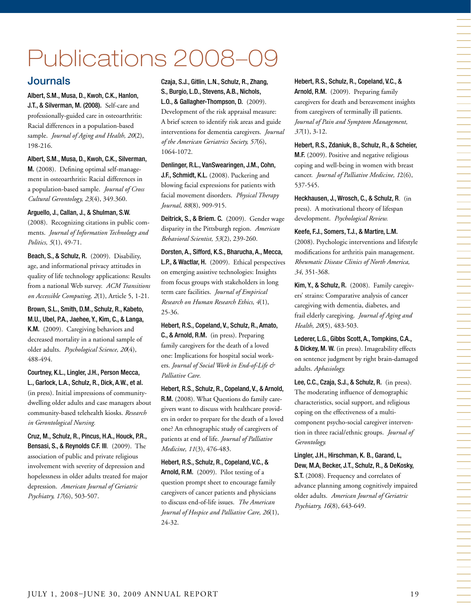# Publications 2008–09

### **Journals**

Albert, S.M., Musa, D., Kwoh, C.K., Hanlon, J.T., & Silverman, M. (2008). Self-care and professionally-guided care in osteoarthritis: Racial differences in a population-based sample. *Journal of Aging and Health, 20*(2), 198-216.

Albert, S.M., Musa, D., Kwoh, C.K., Silverman, M. (2008). Defining optimal self-management in osteoarthritis: Racial differences in a population-based sample. *Journal of Cross Cultural Gerontology, 23*(4), 349.360.

#### Arguello, J., Callan, J., & Shulman, S.W.

(2008). Recognizing citations in public comments. *Journal of Information Technology and Politics, 5*(1), 49-71.

Beach, S., & Schulz, R. (2009). Disability, age, and informational privacy attitudes in quality of life technology applications: Results from a national Web survey. *ACM Transitions on Accessible Computing, 2*(1), Article 5, 1-21.

Brown, S.L., Smith, D.M., Schulz, R., Kabeto, M.U., Ubel, P.A., Jaehee, Y., Kim, C., & Langa, K.M. (2009). Caregiving behaviors and decreased mortality in a national sample of older adults. *Psychological Science, 20*(4), 488-494.

Courtney, K.L., Lingler, J.H., Person Mecca, L., Garlock, L.A., Schulz, R., Dick, A.W., et al. (in press). Initial impressions of communitydwelling older adults and case managers about community-based telehealth kiosks. *Research in Gerontological Nursing.*

Cruz, M., Schulz, R., Pincus, H.A., Houck, P.R., Bensasi, S., & Reynolds C.F. III. (2009). The association of public and private religious involvement with severity of depression and hopelessness in older adults treated for major depression. *American Journal of Geriatric Psychiatry, 17*(6), 503-507.

Czaja, S.J., Gitlin, L.N., Schulz, R., Zhang, S., Burgio, L.D., Stevens, A.B., Nichols, L.O., & Gallagher-Thompson, D. (2009). Development of the risk appraisal measure: A brief screen to identify risk areas and guide interventions for dementia caregivers. *Journal of the American Geriatrics Society, 57*(6), 1064-1072.

Denlinger, R.L., VanSwearingen, J.M., Cohn, J.F., Schmidt, K.L. (2008). Puckering and blowing facial expressions for patients with facial movement disorders. *Physical Therapy Journal, 88*(8), 909-915.

Deitrick, S., & Briem. C. (2009). Gender wage disparity in the Pittsburgh region. *American Behavioral Scientist, 53*(2), 239-260.

Dorsten, A., Sifford, K.S., Bharucha, A., Mecca, L.P., & Wactlar, H. (2009). Ethical perspectives on emerging assistive technologies: Insights from focus groups with stakeholders in long term care facilities. *Journal of Empirical Research on Human Research Ethics, 4*(1), 25-36.

Hebert, R.S., Copeland, V., Schulz, R., Amato, C., & Arnold, R.M. (in press). Preparing family caregivers for the death of a loved one: Implications for hospital social workers. *Journal of Social Work in End-of-Life & Palliative Care.* 

Hebert, R.S., Schulz, R., Copeland, V., & Arnold, R.M. (2008). What Questions do family caregivers want to discuss with healthcare providers in order to prepare for the death of a loved one? An ethnographic study of caregivers of patients at end of life. *Journal of Palliative Medicine, 11*(3), 476-483.

Hebert, R.S., Schulz, R., Copeland, V.C., & Arnold, R.M. (2009). Pilot testing of a question prompt sheet to encourage family caregivers of cancer patients and physicians to discuss end-of-life issues. *The American Journal of Hospice and Palliative Care, 26*(1), 24-32.

Hebert, R.S., Schulz, R., Copeland, V.C., & Arnold, R.M. (2009). Preparing family caregivers for death and bereavement insights from caregivers of terminally ill patients. *Journal of Pain and Symptom Management, 37*(1), 3-12.

Hebert, R.S., Zdaniuk, B., Schulz, R., & Scheier, M.F. (2009). Positive and negative religious coping and well-being in women with breast cancer. *Journal of Palliative Medicine, 1*2(6), 537-545.

Heckhausen, J., Wrosch, C., & Schulz, R. (in press). A motivational theory of lifespan development. *Psychological Review.*

Keefe, F.J., Somers, T.J., & Martire, L.M. (2008). Psychologic interventions and lifestyle modifications for arthritis pain management. *Rheumatic Disease Clinics of North America, 34*, 351-368.

Kim, Y., & Schulz, R. (2008). Family caregivers' strains: Comparative analysis of cancer caregiving with dementia, diabetes, and frail elderly caregiving. *Journal of Aging and Health, 20*(5), 483-503.

Lederer, L.G., Gibbs Scott, A., Tompkins, C.A., & Dickey, M. W. (in press). Imageability effects on sentence judgment by right brain-damaged adults. *Aphasiology.*

Lee, C.C., Czaja, S.J., & Schulz, R. (in press). The moderating influence of demographic characteristics, social support, and religious coping on the effectiveness of a multicomponent psycho-social caregiver intervention in three racial/ethnic groups. *Journal of Gerontology.*

Lingler, J.H., Hirschman, K. B., Garand, L, Dew, M.A, Becker, J.T., Schulz, R., & DeKosky, S.T. (2008). Frequency and correlates of advance planning among cognitively impaired older adults. *American Journal of Geriatric Psychiatry, 16*(8), 643-649.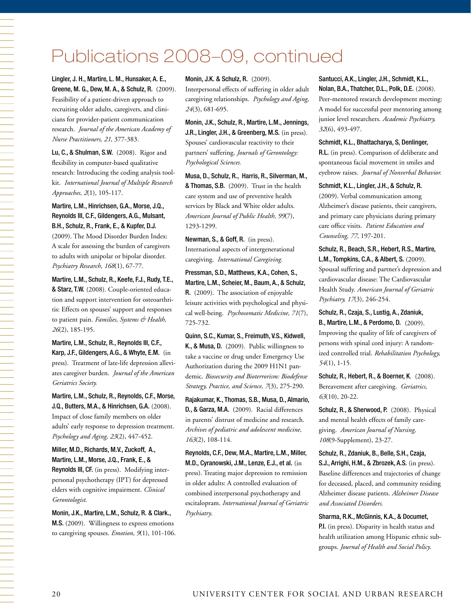# Publications 2008–09, continued

Lingler, J. H., Martire, L. M., Hunsaker, A. E., Greene, M. G., Dew, M. A., & Schulz, R. (2009). Feasibility of a patient-driven approach to recruiting older adults, caregivers, and clinicians for provider-patient communication research. *Journal of the American Academy of Nurse Practitioners, 21*, 377-383.

Lu, C., & Shulman, S.W. (2008). Rigor and flexibility in computer-based qualitative research: Introducing the coding analysis toolkit. *International Journal of Multiple Research Approaches, 2*(1), 105-117.

Martire, L.M., Hinrichsen, G.A., Morse, J.Q., Reynolds III, C.F., Gildengers, A.G., Mulsant, B.H., Schulz, R., Frank, E., & Kupfer, D.J. (2009). The Mood Disorder Burden Index: A scale for assessing the burden of caregivers to adults with unipolar or bipolar disorder. *Psychiatry Research, 168*(1), 67-77.

Martire, L.M., Schulz, R., Keefe, F.J., Rudy, T.E., & Starz, T.W. (2008). Couple-oriented education and support intervention for osteoarthritis: Effects on spouses' support and responses to patient pain. *Families, Systems & Health, 26*(2), 185-195.

Martire, L.M., Schulz, R., Reynolds III, C.F., Karp, J.F., Gildengers, A.G., & Whyte, E.M. (in press). Treatment of late-life depression alleviates caregiver burden. *Journal of the American Geriatrics Society.*

Martire, L.M., Schulz, R., Reynolds, C.F., Morse, J.Q., Butters, M.A., & Hinrichsen, G.A. (2008). Impact of close family members on older adults' early response to depression treatment. *Psychology and Aging, 23*(2), 447-452.

Miller, M.D., Richards, M.V., Zuckoff, A., Martire, L.M., Morse, J.Q., Frank, E., & Reynolds III, CF. (in press). Modifying interpersonal psychotherapy (IPT) for depressed elders with cognitive impairment. *Clinical Gerontologist*.

Monin, J.K., Martire, L.M., Schulz, R. & Clark., M.S. (2009). Willingness to express emotions to caregiving spouses. *Emotion, 9*(1), 101-106. Monin, J.K. & Schulz, R. (2009).

Interpersonal effects of suffering in older adult caregiving relationships. *Psychology and Aging, 24*(3), 681-695.

Monin, J.K., Schulz, R., Martire, L.M., Jennings, J.R., Lingler, J.H., & Greenberg, M.S. (in press). Spouses' cardiovascular reactivity to their partners' suffering. *Journals of Gerontology: Psychological Sciences.*

Musa, D., Schulz, R., Harris, R., Silverman, M., & Thomas, S.B. (2009). Trust in the health care system and use of preventive health services by Black and White older adults. *American Journal of Public Health, 99*(7), 1293-1299.

Newman, S., & Goff, R. (in press). International aspects of intergenerational caregiving. *International Caregiving.* 

Pressman, S.D., Matthews, K.A., Cohen, S., Martire, L.M., Scheier, M., Baum, A., & Schulz, R. (2009). The association of enjoyable leisure activities with psychological and physical well-being. *Psychosomatic Medicine, 71*(7), 725-732.

Quinn, S.C., Kumar, S., Freimuth, V.S., Kidwell, K., & Musa, D. (2009). Public willingness to take a vaccine or drug under Emergency Use Authorization during the 2009 H1N1 pandemic. *Biosecurity and Bioterrorism: Biodefense Strategy, Practice, and Science, 7*(3), 275-290.

Rajakumar, K., Thomas, S.B., Musa, D., Almario, D., & Garza, M.A. (2009). Racial differences in parents' distrust of medicine and research. *Archives of pediatric and adolescent medicine, 163*(2), 108-114.

Reynolds, C.F., Dew, M.A., Martire, L.M., Miller, M.D., Cyranowski, J.M., Lenze, E.J., et al. (in press). Treating major depression to remission in older adults: A controlled evaluation of combined interpersonal psychotherapy and escitalopram. *International Journal of Geriatric Psychiatry*.

Santucci, A.K., Lingler, J.H., Schmidt, K.L., Nolan, B.A., Thatcher, D.L., Polk, D.E. (2008). Peer-mentored research development meeting: A model for successful peer mentoring among junior level researchers. *Academic Psychiatry, 32*(6), 493-497.

Schmidt, K.L., Bhattacharya, S, Denlinger, R.L. (in press). Comparison of deliberate and spontaneous facial movement in smiles and eyebrow raises. *Journal of Nonverbal Behavior.*

Schmidt, K.L., Lingler, J.H., & Schulz, R.

(2009). Verbal communication among Alzheimer's disease patients, their caregivers, and primary care physicians during primary care office visits. *Patient Education and Counseling, 77*, 197-201.

Schulz, R., Beach, S.R., Hebert, R.S., Martire, L.M., Tompkins, C.A., & Albert, S. (2009). Spousal suffering and partner's depression and cardiovascular disease: The Cardiovascular Health Study. *American Journal of Geriatric Psychiatry, 17*(3), 246-254.

Schulz, R., Czaja, S., Lustig, A., Zdaniuk, B., Martire, L.M., & Perdomo, D. (2009). Improving the quality of life of caregivers of persons with spinal cord injury: A randomized controlled trial. *Rehabilitation Psychology, 54*(1), 1-15.

Schulz, R., Hebert, R., & Boerner, K. (2008). Bereavement after caregiving. *Geriatrics, 63*(10), 20-22.

Schulz, R., & Sherwood, P. (2008). Physical and mental health effects of family caregiving. *American Journal of Nursing, 108*(9-Supplement), 23-27.

Schulz, R., Zdaniuk, B., Belle, S.H., Czaja, S.J., Arrighi, H.M., & Zbrozek, A.S. (in press). Baseline differences and trajectories of change for deceased, placed, and community residing Alzheimer disease patients. *Alzheimer Disease and Associated Disorders.*

Sharma, R.K., McGinnis, K.A., & Documet, P.I. (in press). Disparity in health status and health utilization among Hispanic ethnic subgroups. *Journal of Health and Social Policy*.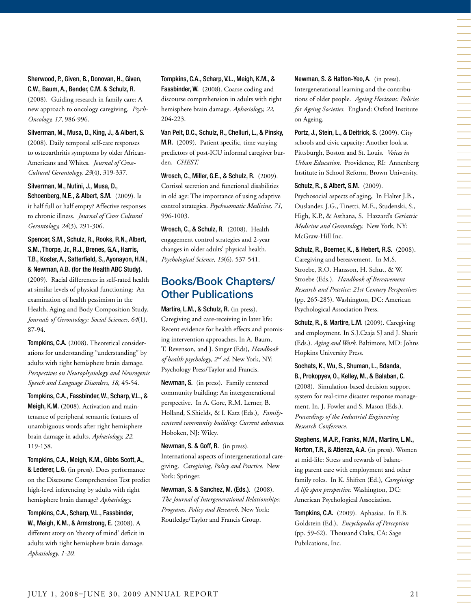Sherwood, P., Given, B., Donovan, H., Given, C.W., Baum, A., Bender, C.M. & Schulz, R. (2008). Guiding research in family care: A

new approach to oncology caregiving. *Psych-Oncology, 17*, 986-996.

Silverman, M., Musa, D., King, J., & Albert, S. (2008). Daily temporal self-care responses to osteoarthritis symptoms by older African-Americans and Whites. *Journal of Cross-Cultural Gerontology, 23*(4), 319-337.

Silverman, M., Nutini, J., Musa, D., Schoenberg, N.E., & Albert, S.M. (2009). Is it half full or half empty? Affective responses to chronic illness. *Journal of Cross Cultural Gerontology, 24*(3), 291-306.

Spencer, S.M., Schulz, R., Rooks, R.N., Albert, S.M., Thorpe, Jr., R.J., Brenes, G.A., Harris, T.B., Koster, A., Satterfield, S., Ayonayon, H.N., & Newman, A.B. (for the Health ABC Study). (2009). Racial differences in self-rated health at similar levels of physical functioning: An examination of health pessimism in the Health, Aging and Body Composition Study. *Journals of Gerontology: Social Sciences, 64*(1), 87-94.

Tompkins, C.A. (2008). Theoretical considerations for understanding "understanding" by adults with right hemisphere brain damage. *Perspectives on Neurophysiology and Neurogenic Speech and Language Disorders, 18*, 45-54.

Tompkins, C.A., Fassbinder, W., Scharp, V.L., & Meigh, K.M. (2008). Activation and maintenance of peripheral semantic features of unambiguous words after right hemisphere brain damage in adults. *Aphasiology, 22,* 119-138.

Tompkins, C.A., Meigh, K.M., Gibbs Scott, A., & Lederer, L.G. (in press). Does performance on the Discourse Comprehension Test predict high-level inferencing by adults with right hemisphere brain damage? *Aphasiology.*

Tompkins, C.A., Scharp, V.L., Fassbinder, W., Meigh, K.M., & Armstrong, E. (2008). A different story on 'theory of mind' deficit in adults with right hemisphere brain damage. *Aphasiology, 1-20*.

Tompkins, C.A., Scharp, V.L., Meigh, K.M., & Fassbinder, W. (2008). Coarse coding and discourse comprehension in adults with right hemisphere brain damage. *Aphasiology, 22*, 204-223.

Van Pelt, D.C., Schulz, R., Chelluri, L., & Pinsky, M.R. (2009). Patient specific, time varying predictors of post-ICU informal caregiver burden. *CHEST.*

Wrosch, C., Miller, G.E., & Schulz, R. (2009). Cortisol secretion and functional disabilities in old age: The importance of using adaptive control strategies. *Psychosomatic Medicine, 71*, 996-1003.

Wrosch, C., & Schulz, R. (2008). Health engagement control strategies and 2-year changes in older adults' physical health. *Psychological Science, 19*(6), 537-541.

## Books/Book Chapters/ Other Publications

Martire, L.M., & Schulz, R. (in press). Caregiving and care-receiving in later life: Recent evidence for health effects and promising intervention approaches. In A. Baum, T. Revenson, and J. Singer (Eds), *Handbook of health psychology, 2nd ed*. New York, NY: Psychology Press/Taylor and Francis.

Newman, S. (in press). Family centered community building: An intergenerational perspective. In A. Gore, R.M. Lerner, B. Holland, S.Shields, & I. Katz (Eds.), *Familycentered community building: Current advances.* Hoboken, NJ: Wiley.

Newman, S. & Goff, R. (in press). International aspects of intergenerational caregiving. *Caregiving, Policy and Practice.* New York: Springer.

Newman, S. & Sanchez, M. (Eds.). (2008). *The Journal of Intergenerational Relationships: Programs, Policy and Research.* New York: Routledge/Taylor and Francis Group.

Newman, S. & Hatton-Yeo, A. (in press). Intergenerational learning and the contributions of older people. *Ageing Horizons: Policies for Ageing Societies.* England: Oxford Institute on Ageing.

Portz, J., Stein, L., & Deitrick, S. (2009). City schools and civic capacity: Another look at Pittsburgh, Boston and St. Louis. *Voices in Urban Education*. Providence, RI: Annenberg Institute in School Reform, Brown University.

Schulz, R., & Albert, S.M. (2009). Psychosocial aspects of aging, In Halter J.B., Ouslander, J.G., Tinetti, M.E., Studenski, S., High, K.P., & Asthana, S. Hazzard's *Geriatric Medicine and Gerontology.* New York, NY: McGraw-Hill Inc.

Schulz, R., Boerner, K., & Hebert, R.S. (2008). Caregiving and bereavement. In M.S. Stroebe, R.O. Hansson, H. Schut, & W. Stroebe (Eds.). *Handbook of Bereavement Research and Practice: 21st Century Perspectives* (pp. 265-285). Washington, DC: American Psychological Association Press.

Schulz, R., & Martire, L.M. (2009). Caregiving and employment. In S.J.Czaja SJ and J. Sharit (Eds.). *Aging and Work.* Baltimore, MD: Johns Hopkins University Press.

Sochats, K., Wu, S., Shuman, L., Bdanda, B., Prokopyev, O., Kelley, M., & Balaban, C. (2008). Simulation-based decision support system for real-time disaster response management. In. J. Fowler and S. Mason (Eds.).

*Proceedings of the Industrial Engineering Research Conference.*

Stephens, M.A.P., Franks, M.M., Martire, L.M., Norton, T.R., & Atienza, A.A. (in press). Women at mid-life: Stress and rewards of balancing parent care with employment and other family roles. In K. Shifren (Ed.), *Caregiving: A life span perspective.* Washington, DC: American Psychological Association.

Tompkins, C.A. (2009). Aphasias. In E.B. Goldstein (Ed.), *Encyclopedia of Perception* (pp. 59-62). Thousand Oaks, CA: Sage Pubilcations, Inc.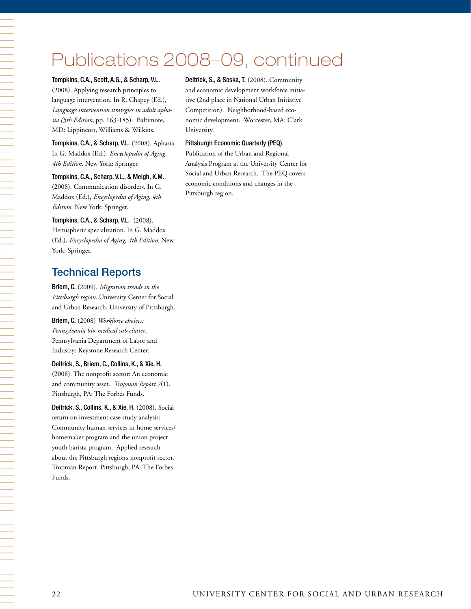# Publications 2008–09, continued

Tompkins, C.A., Scott, A.G., & Scharp, V.L. (2008). Applying research principles to language intervention. In R. Chapey (Ed.), *Language intervention strategies in adult aphasia (5th Edition*, pp. 163-185). Baltimore, MD: Lippincott, Williams & Wilkins.

Tompkins, C.A., & Scharp, V.L. (2008). Aphasia. In G. Maddox (Ed.), *Encyclopedia of Aging, 4th Edition.* New York: Springer.

Tompkins, C.A., Scharp, V.L., & Meigh, K.M. (2008). Communication disorders. In G. Maddox (Ed.), *Encyclopedia of Aging, 4th Edition.* New York: Springer.

Tompkins, C.A., & Scharp, V.L. (2008). Hemispheric specialization. In G. Maddox (Ed.), *Encyclopedia of Aging, 4th Edition.* New York: Springer.

## Technical Reports

一个人,我们就是一个人,我们就是一个人,我们就是一个人,我们就是一个人,我们就是一个人,我们就是一个人,我们就是一个人,我们就是一个人,我们就是一个人,我们就是一

Briem, C. (2009). *Migration trends in the Pittsburgh region.* University Center for Social and Urban Research, University of Pittsburgh.

Briem, C. (2008) *Workforce choices: Pennsylvania bio-medical sub cluster.* Pennsylvania Department of Labor and Industry: Keystone Research Center.

Deitrick, S., Briem, C., Collins, K., & Xie, H. (2008). The nonprofit sector: An economic and community asset. *Tropman Report 7*(1). Pittsburgh, PA: The Forbes Funds.

Deitrick, S., Collins, K., & Xie, H. (2008). Social return on investment case study analysis: Community human services in-home services/ homemaker program and the union project youth barista program. Applied research about the Pittsburgh region's nonprofit sector. Tropman Report. Pittsburgh, PA: The Forbes Funds.

Deitrick, S., & Soska, T. (2008). Community and economic development workforce initiative (2nd place in National Urban Initiative Competition). Neighborhood-based economic development. Worcester, MA: Clark University.

#### Pittsburgh Economic Quarterly (PEQ).

Publication of the Urban and Regional Analysis Program at the University Center for Social and Urban Research. The PEQ covers economic conditions and changes in the Pittsburgh region.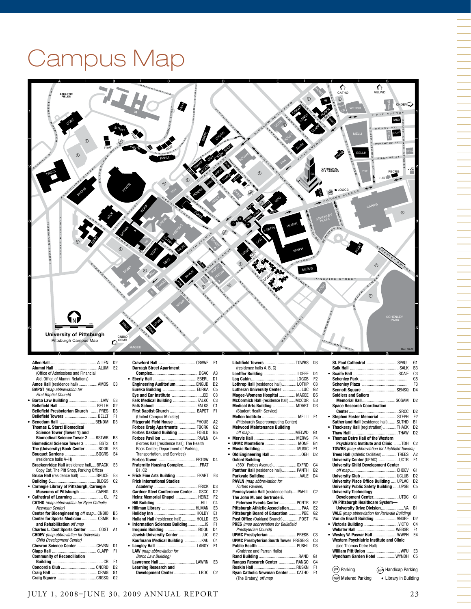# Campus Map



|   |                                                  | D <sub>2</sub> |
|---|--------------------------------------------------|----------------|
|   |                                                  | F <sub>2</sub> |
|   | (Office of Admissions and Financial              |                |
|   | Aid, Office of Alumni Relations)                 |                |
|   | Amos Hall (residence hall)  AMOS                 | E <sub>3</sub> |
|   | <b>BAPST</b> (map abbreviation for               |                |
|   | <b>First Baptist Church)</b>                     |                |
|   |                                                  | E <sub>3</sub> |
|   |                                                  | G <sub>2</sub> |
|   | Bellefield Presbyterian Church  PRES             | D <sub>3</sub> |
|   | Bellefield Towers  BELLT                         | F <sub>1</sub> |
| ٠ | Benedum Hall BENDM                               | D <sub>3</sub> |
|   | <b>Thomas E. Starzl Biomedical</b>               |                |
|   | Science Tower (Tower 1) and                      |                |
|   | <b>Biomedical Science Tower 2 BSTWR</b>          | B <sub>3</sub> |
|   | Biomedical Science Tower 3  BST3                 | C <sub>4</sub> |
|   | The (University) Book Center BOOK                | E <sub>3</sub> |
|   | Bouquet Gardens BQGRS                            | F <sub>4</sub> |
|   | (residence halls A-H)                            |                |
|   | Brackenridge Hall (residence hall,BRACK          | E <sub>3</sub> |
|   | Copy Cat, The Pitt Shop, Parking Office)         |                |
|   | Bruce Hall (residence hall) BRUCE                | E <sub>3</sub> |
|   |                                                  | C <sub>2</sub> |
|   | Carnegie Library of Pittsburgh, Carnegie         |                |
|   | Museums of Pittsburgh CARNG                      | G3             |
| ٠ |                                                  | F <sub>2</sub> |
|   | <b>CATHO</b> (map abbreviation for Ryan Catholic |                |
|   | Newman Center)                                   |                |
|   | Center for Bioengineering off mapCNBIO           | <b>B5</b>      |
|   | Center for Sports Medicine  CSMR                 | <b>B5</b>      |
|   | and Rehabilitation off map                       |                |
|   | Charles L. Cost Sports Center  COST              | A1             |
|   | <b>CHDEV</b> (map abbreviation for University    |                |
|   | Child Development Center)                        |                |
|   | Chevron Science Center CHVRN                     | D1             |
|   |                                                  | F <sub>1</sub> |
|   | <b>Community of Reconciliation</b>               | F1             |
|   |                                                  |                |
|   |                                                  | D <sub>2</sub> |
|   |                                                  | G <sub>1</sub> |
|   |                                                  | G <sub>2</sub> |

|           |                                           | F1             |
|-----------|-------------------------------------------|----------------|
|           | <b>Darragh Street Apartment</b>           |                |
|           |                                           | A <sub>3</sub> |
|           |                                           | D1             |
|           | Engineering Auditorium ENGUD              | D <sub>2</sub> |
|           | <b>Eureka Building  EURKA</b>             | C <sub>5</sub> |
|           | Eve and Ear Institute EEI                 | C <sub>3</sub> |
|           | Falk Medical Building FALKC               | C <sub>3</sub> |
|           |                                           | C <sub>1</sub> |
|           | First Baptist Church  BAPST               | F <sub>1</sub> |
|           | (United Campus Ministry)                  |                |
|           | Fitzgerald Field House FHOUS              | A2             |
|           | Forbes Craig Apartments  FBCRG            | G <sub>2</sub> |
|           | Forbes Oakland Building  FOBLD            | <b>B5</b>      |
|           |                                           | C <sub>4</sub> |
|           | (Forbes Hall fresidence hall): The Health |                |
|           | Book Center; Department of Parking,       |                |
|           | Transportation, and Services)             |                |
|           | Forbes Tower  FRTOW                       | D <sub>4</sub> |
|           | Fraternity Housing ComplexFRAT            |                |
|           | B1. C <sub>2</sub>                        |                |
| $\bullet$ | Frick Fine Arts Building  FKART           | F3             |
|           | <b>Frick International Studies</b>        |                |
|           |                                           | D3             |
|           | Gardner Steel Conference Center  GSCC     | D <sub>2</sub> |
|           | Heinz Memorial Chapel  HEINZ              | F <sub>2</sub> |
|           |                                           | C <sub>4</sub> |
|           | Hillman Library HLMAN                     | E <sub>3</sub> |
|           |                                           | E <sub>1</sub> |
|           | Holland Hall (residence hall) HOLLD       | E <sub>3</sub> |
|           | Information Sciences BuildingIS           | F <sub>1</sub> |
|           |                                           | D4             |
|           | Jewish University Center  JUC             | G <sub>2</sub> |
|           | Kaufmann Medical Building  KAU            | C <sub>4</sub> |
|           |                                           | E <sub>1</sub> |
|           | LAW (map abbreviation for                 |                |
|           | <b>Barco Law Building)</b>                |                |
|           |                                           | F3             |
|           | <b>Learning Research and</b>              |                |
|           | Development Center LRDC                   | C <sub>2</sub> |
|           |                                           |                |

|           | Litchfield Towers TOWRS                      | D3                               |
|-----------|----------------------------------------------|----------------------------------|
|           | (residence halls A, B, C)                    |                                  |
|           |                                              | D <sub>4</sub>                   |
|           |                                              | F <sub>2</sub>                   |
|           | Lothrop Hall (residence hall) LOTHP          | C <sub>3</sub>                   |
|           | Lutheran University Center  LUC              | G <sub>2</sub>                   |
|           | Magee-Womens Hospital  MAGEE                 | R <sub>5</sub>                   |
|           | McCormick Hall (residence hall)MCCOR         | E <sub>3</sub>                   |
|           | Medical Arts Building  MDART                 | D <sub>3</sub>                   |
|           | (Student Health Service)                     |                                  |
|           | Mellon Institute  MELLI                      | F1                               |
|           | (Pittsburgh Supercomputing Center)           |                                  |
|           | <b>Melwood Maintenance Building</b>          |                                  |
|           |                                              | G <sub>1</sub>                   |
| ٠         |                                              | F4                               |
| $\bullet$ | <b>UPMC Montefiore  MONF</b>                 | R <sub>4</sub>                   |
| ٠         |                                              | F <sub>1</sub>                   |
| ٠         |                                              | D <sub>2</sub>                   |
|           | <b>Oxford Building</b>                       |                                  |
|           | (3501 Forbes Avenue)  OXFRD                  | C <sub>4</sub>                   |
|           | Panther Hall (residence hall) PANTH          | B <sub>2</sub>                   |
|           |                                              | $\mathsf{D}4$                    |
|           | <b>PAVLN</b> (map abbreviation for           |                                  |
|           | <b>Forbes Pavilion)</b>                      |                                  |
|           | Pennsylvania Hall (residence hall)PAHLL      | C <sub>2</sub>                   |
|           | The John M. and Gertrude E.                  |                                  |
|           | Petersen Events Center PCNTR                 | B <sub>2</sub>                   |
|           | Pittsburgh Athletic Association PAA          | F <sub>2</sub>                   |
|           | Pittsburgh Board of Education  PBE           | G2                               |
|           | Post Office (Oakland Branch) POST            | F <sub>4</sub>                   |
|           | <b>PRES</b> (map abbreviation for Bellefield |                                  |
|           | Presbyterian Church)                         |                                  |
|           | UPMC Presbyterian  PRESB                     | C <sub>3</sub><br>C <sub>3</sub> |
|           | <b>UPMC Presbyterian South Tower PRESB-S</b> |                                  |
|           |                                              | D <sub>3</sub>                   |
|           | (Crabtree and Parran Halls)                  |                                  |
|           |                                              | G1<br>C <sub>4</sub>             |
|           | Rangos Research Center  RANGO                | F <sub>1</sub>                   |
|           |                                              | F <sub>1</sub>                   |
|           | Ryan Catholic Newman Center  CATHO           |                                  |
|           | (The Oratory) off map                        |                                  |

| St. Paul Cathedral  SPAUL                             | G1             |
|-------------------------------------------------------|----------------|
|                                                       | B <sub>3</sub> |
|                                                       | C <sub>3</sub> |
|                                                       | G5             |
|                                                       | F <sub>3</sub> |
| Sennott Square SENSQ                                  | D4             |
| <b>Soldiers and Sailors</b>                           |                |
| <b>Memorial Hall</b> SOSAM                            | D <sub>2</sub> |
| <b>Space Research Coordination</b>                    |                |
|                                                       | D <sub>2</sub> |
| • Stephen Foster Memorial  STEPH                      | F <sub>2</sub> |
| Sutherland Hall (residence hall)SUTHD                 | R <sub>1</sub> |
| • Thackeray Hall (registration) THACK                 | D <sub>2</sub> |
|                                                       | D <sub>2</sub> |
| • Thomas Detre Hall of the Western                    |                |
| <b>Psychiatric Institute and Clinic  TDH</b>          | C <sub>2</sub> |
| <b>TOWRS</b> (map abbreviation for Litchfield Towers) |                |
| Trees Hall (athletic facilities)  TREES               | A <sub>2</sub> |
| University Center (UPMC) UCTR                         | F1             |
| <b>University Child Development Center</b>            |                |
|                                                       | G <sub>1</sub> |
|                                                       | D <sub>2</sub> |
| <b>University Place Office Building  UPLAC</b>        | D <sub>2</sub> |
| <b>University Public Safety Building  UPSB</b>        | C <sub>5</sub> |
| <b>University Technology</b>                          |                |
| Development CenterUTDC                                | G1             |
| VA Pittsburgh Healthcare System-                      |                |
|                                                       | B1             |
| <b>VALE</b> (map abbreviation for Parkvale Building)  |                |
| Van de Graaff Building  VNGRF                         | D <sub>2</sub> |
| • Victoria Building  VICTO                            | C <sub>4</sub> |
|                                                       | F <sub>1</sub> |
| • Wesley W. Posvar Hall  WWPH                         | E <sub>4</sub> |
| Western Psychiatric Institute and Clinic              |                |
| (see Thomas Detre Hall)                               |                |
| <b>William Pitt Union  WPU</b>                        | F3             |
| Wyndham Garden Hotel WYNDH                            | C <sub>5</sub> |
|                                                       |                |
|                                                       |                |
| (P) Parking<br>(HP) Handicap Parking                  |                |
| (MP) Metered Parking<br>• Library in Building         |                |